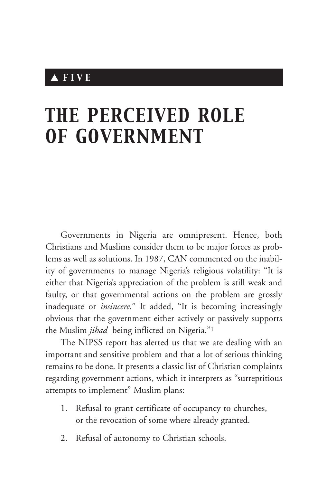## ▲ *FIVE*

# *THE PERCEIVED ROLE OF GOVERNMENT*

Governments in Nigeria are omnipresent. Hence, both Christians and Muslims consider them to be major forces as problems as well as solutions. In 1987, CAN commented on the inability of governments to manage Nigeria's religious volatility: "It is either that Nigeria's appreciation of the problem is still weak and faulty, or that governmental actions on the problem are grossly inadequate or *insincere*." It added, "It is becoming increasingly obvious that the government either actively or passively supports the Muslim *jihad* being inflicted on Nigeria."1

The NIPSS report has alerted us that we are dealing with an important and sensitive problem and that a lot of serious thinking remains to be done. It presents a classic list of Christian complaints regarding government actions, which it interprets as "surreptitious attempts to implement" Muslim plans:

- 1. Refusal to grant certificate of occupancy to churches, or the revocation of some where already granted.
- 2. Refusal of autonomy to Christian schools.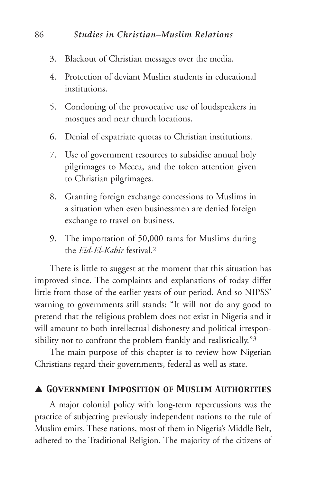- 3. Blackout of Christian messages over the media.
- 4. Protection of deviant Muslim students in educational institutions.
- 5. Condoning of the provocative use of loudspeakers in mosques and near church locations.
- 6. Denial of expatriate quotas to Christian institutions.
- 7. Use of government resources to subsidise annual holy pilgrimages to Mecca, and the token attention given to Christian pilgrimages.
- 8. Granting foreign exchange concessions to Muslims in a situation when even businessmen are denied foreign exchange to travel on business.
- 9. The importation of 50,000 rams for Muslims during the *Eid-El-Kabir* festival.2

There is little to suggest at the moment that this situation has improved since. The complaints and explanations of today differ little from those of the earlier years of our period. And so NIPSS' warning to governments still stands: "It will not do any good to pretend that the religious problem does not exist in Nigeria and it will amount to both intellectual dishonesty and political irresponsibility not to confront the problem frankly and realistically."<sup>3</sup>

The main purpose of this chapter is to review how Nigerian Christians regard their governments, federal as well as state.

#### ▲ *Government Imposition of Muslim Authorities*

A major colonial policy with long-term repercussions was the practice of subjecting previously independent nations to the rule of Muslim emirs. These nations, most of them in Nigeria's Middle Belt, adhered to the Traditional Religion. The majority of the citizens of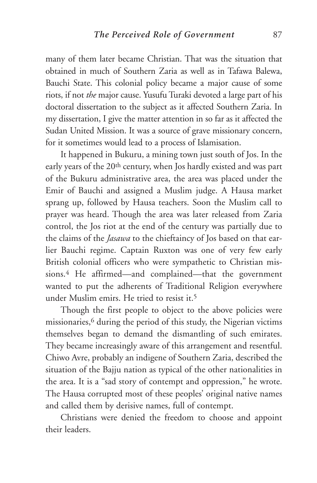many of them later became Christian. That was the situation that obtained in much of Southern Zaria as well as in Tafawa Balewa, Bauchi State. This colonial policy became a major cause of some riots, if not *the* major cause. Yusufu Turaki devoted a large part of his doctoral dissertation to the subject as it affected Southern Zaria. In my dissertation, I give the matter attention in so far as it affected the Sudan United Mission. It was a source of grave missionary concern, for it sometimes would lead to a process of Islamisation.

It happened in Bukuru, a mining town just south of Jos. In the early years of the 20<sup>th</sup> century, when Jos hardly existed and was part of the Bukuru administrative area, the area was placed under the Emir of Bauchi and assigned a Muslim judge. A Hausa market sprang up, followed by Hausa teachers. Soon the Muslim call to prayer was heard. Though the area was later released from Zaria control, the Jos riot at the end of the century was partially due to the claims of the *Jasawa* to the chieftaincy of Jos based on that earlier Bauchi regime. Captain Ruxton was one of very few early British colonial officers who were sympathetic to Christian missions.4 He affirmed—and complained—that the government wanted to put the adherents of Traditional Religion everywhere under Muslim emirs. He tried to resist it.<sup>5</sup>

Though the first people to object to the above policies were missionaries,6 during the period of this study, the Nigerian victims themselves began to demand the dismantling of such emirates. They became increasingly aware of this arrangement and resentful. Chiwo Avre, probably an indigene of Southern Zaria, described the situation of the Bajju nation as typical of the other nationalities in the area. It is a "sad story of contempt and oppression," he wrote. The Hausa corrupted most of these peoples' original native names and called them by derisive names, full of contempt.

Christians were denied the freedom to choose and appoint their leaders.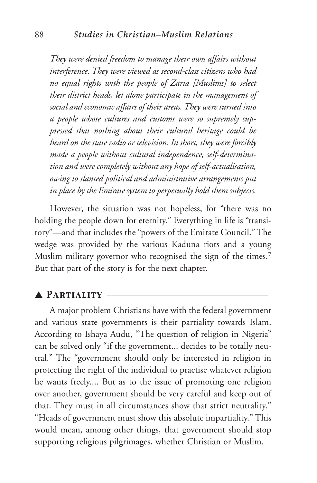*They were denied freedom to manage their own affairs without interference. They were viewed as second-class citizens who had no equal rights with the people of Zaria [Muslims] to select their district heads, let alone participate in the management of social and economic affairs of their areas. They were turned into a people whose cultures and customs were so supremely suppressed that nothing about their cultural heritage could be heard on the state radio or television. In short, they were forcibly made a people without cultural independence, self-determination and were completely without any hope of self-actualisation, owing to slanted political and administrative arrangements put in place by the Emirate system to perpetually hold them subjects.*

However, the situation was not hopeless, for "there was no holding the people down for eternity." Everything in life is "transitory"—and that includes the "powers of the Emirate Council." The wedge was provided by the various Kaduna riots and a young Muslim military governor who recognised the sign of the times.<sup>7</sup> But that part of the story is for the next chapter.

#### ▲ *Partiality* \_\_\_\_\_\_\_\_\_\_\_\_\_\_\_\_\_\_\_\_\_\_\_\_\_\_\_\_\_\_\_\_\_\_\_

A major problem Christians have with the federal government and various state governments is their partiality towards Islam. According to Ishaya Audu, "The question of religion in Nigeria" can be solved only "if the government... decides to be totally neutral." The "government should only be interested in religion in protecting the right of the individual to practise whatever religion he wants freely.... But as to the issue of promoting one religion over another, government should be very careful and keep out of that. They must in all circumstances show that strict neutrality." "Heads of government must show this absolute impartiality." This would mean, among other things, that government should stop supporting religious pilgrimages, whether Christian or Muslim.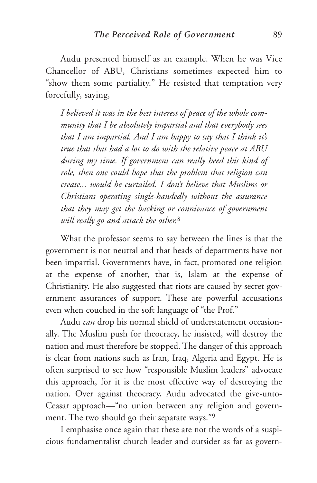Audu presented himself as an example. When he was Vice Chancellor of ABU, Christians sometimes expected him to "show them some partiality." He resisted that temptation very forcefully, saying,

*I believed it was in the best interest of peace of the whole community that I be absolutely impartial and that everybody sees that I am impartial. And I am happy to say that I think it's true that that had a lot to do with the relative peace at ABU during my time. If government can really heed this kind of role, then one could hope that the problem that religion can create... would be curtailed. I don't believe that Muslims or Christians operating single-handedly without the assurance that they may get the backing or connivance of government will really go and attack the other.*<sup>8</sup>

What the professor seems to say between the lines is that the government is not neutral and that heads of departments have not been impartial. Governments have, in fact, promoted one religion at the expense of another, that is, Islam at the expense of Christianity. He also suggested that riots are caused by secret government assurances of support. These are powerful accusations even when couched in the soft language of "the Prof."

Audu *can* drop his normal shield of understatement occasionally. The Muslim push for theocracy, he insisted, will destroy the nation and must therefore be stopped. The danger of this approach is clear from nations such as Iran, Iraq, Algeria and Egypt. He is often surprised to see how "responsible Muslim leaders" advocate this approach, for it is the most effective way of destroying the nation. Over against theocracy, Audu advocated the give-unto-Ceasar approach—"no union between any religion and government. The two should go their separate ways."9

I emphasise once again that these are not the words of a suspicious fundamentalist church leader and outsider as far as govern-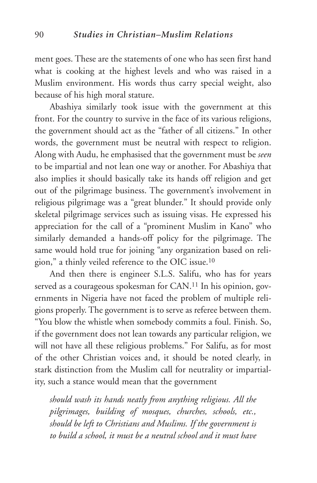ment goes. These are the statements of one who has seen first hand what is cooking at the highest levels and who was raised in a Muslim environment. His words thus carry special weight, also because of his high moral stature.

Abashiya similarly took issue with the government at this front. For the country to survive in the face of its various religions, the government should act as the "father of all citizens." In other words, the government must be neutral with respect to religion. Along with Audu, he emphasised that the government must be *seen* to be impartial and not lean one way or another. For Abashiya that also implies it should basically take its hands off religion and get out of the pilgrimage business. The government's involvement in religious pilgrimage was a "great blunder." It should provide only skeletal pilgrimage services such as issuing visas. He expressed his appreciation for the call of a "prominent Muslim in Kano" who similarly demanded a hands-off policy for the pilgrimage. The same would hold true for joining "any organization based on religion," a thinly veiled reference to the OIC issue.10

And then there is engineer S.L.S. Salifu, who has for years served as a courageous spokesman for CAN.<sup>11</sup> In his opinion, governments in Nigeria have not faced the problem of multiple religions properly. The government is to serve as referee between them. "You blow the whistle when somebody commits a foul. Finish. So, if the government does not lean towards any particular religion, we will not have all these religious problems." For Salifu, as for most of the other Christian voices and, it should be noted clearly, in stark distinction from the Muslim call for neutrality or impartiality, such a stance would mean that the government

*should wash its hands neatly from anything religious. All the pilgrimages, building of mosques, churches, schools, etc., should be left to Christians and Muslims. If the government is to build a school, it must be a neutral school and it must have*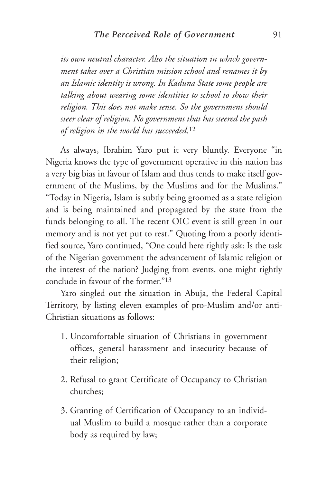*its own neutral character. Also the situation in which government takes over a Christian mission school and renames it by an Islamic identity is wrong. In Kaduna State some people are talking about wearing some identities to school to show their religion. This does not make sense. So the government should steer clear of religion. No government that has steered the path of religion in the world has succeeded.*<sup>12</sup>

As always, Ibrahim Yaro put it very bluntly. Everyone "in Nigeria knows the type of government operative in this nation has a very big bias in favour of Islam and thus tends to make itself government of the Muslims, by the Muslims and for the Muslims." "Today in Nigeria, Islam is subtly being groomed as a state religion and is being maintained and propagated by the state from the funds belonging to all. The recent OIC event is still green in our memory and is not yet put to rest." Quoting from a poorly identified source, Yaro continued, "One could here rightly ask: Is the task of the Nigerian government the advancement of Islamic religion or the interest of the nation? Judging from events, one might rightly conclude in favour of the former."13

Yaro singled out the situation in Abuja, the Federal Capital Territory, by listing eleven examples of pro-Muslim and/or anti-Christian situations as follows:

- 1. Uncomfortable situation of Christians in government offices, general harassment and insecurity because of their religion;
- 2. Refusal to grant Certificate of Occupancy to Christian churches;
- 3. Granting of Certification of Occupancy to an individual Muslim to build a mosque rather than a corporate body as required by law;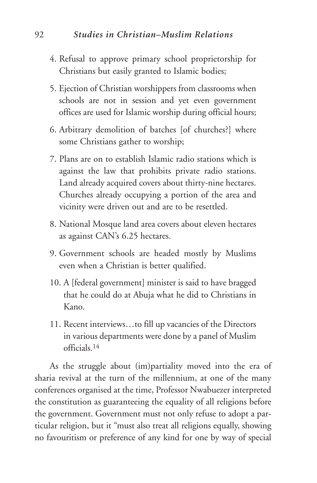- 4. Refusal to approve primary school proprietorship for Christians but easily granted to Islamic bodies;
- 5. Ejection of Christian worshippers from classrooms when schools are not in session and yet even government offices are used for Islamic worship during official hours;
- 6. Arbitrary demolition of batches [of churches?] where some Christians gather to worship;
- 7. Plans are on to establish Islamic radio stations which is against the law that prohibits private radio stations. Land already acquired covers about thirty-nine hectares. Churches already occupying a portion of the area and vicinity were driven out and are to be resettled.
- 8. National Mosque land area covers about eleven hectares as against CAN's 6.25 hectares.
- 9. Government schools are headed mostly by Muslims even when a Christian is better qualified.
- 10. A [federal government] minister is said to have bragged that he could do at Abuja what he did to Christians in Kano.
- 11. Recent interviews…to fill up vacancies of the Directors in various departments were done by a panel of Muslim officials.14

As the struggle about (im)partiality moved into the era of sharia revival at the turn of the millennium, at one of the many conferences organised at the time, Professor Nwabuezer interpreted the constitution as guaranteeing the equality of all religions before the government. Government must not only refuse to adopt a particular religion, but it "must also treat all religions equally, showing no favouritism or preference of any kind for one by way of special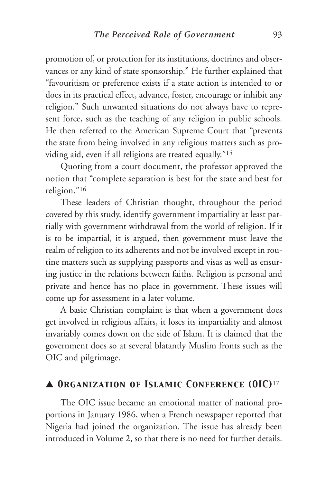promotion of, or protection for its institutions, doctrines and observances or any kind of state sponsorship." He further explained that "favouritism or preference exists if a state action is intended to or does in its practical effect, advance, foster, encourage or inhibit any religion." Such unwanted situations do not always have to represent force, such as the teaching of any religion in public schools. He then referred to the American Supreme Court that "prevents the state from being involved in any religious matters such as providing aid, even if all religions are treated equally."15

Quoting from a court document, the professor approved the notion that "complete separation is best for the state and best for religion."16

These leaders of Christian thought, throughout the period covered by this study, identify government impartiality at least partially with government withdrawal from the world of religion. If it is to be impartial, it is argued, then government must leave the realm of religion to its adherents and not be involved except in routine matters such as supplying passports and visas as well as ensuring justice in the relations between faiths. Religion is personal and private and hence has no place in government. These issues will come up for assessment in a later volume.

A basic Christian complaint is that when a government does get involved in religious affairs, it loses its impartiality and almost invariably comes down on the side of Islam. It is claimed that the government does so at several blatantly Muslim fronts such as the OIC and pilgrimage.

#### ▲ *Organization of Islamic Conference (OIC)*17

The OIC issue became an emotional matter of national proportions in January 1986, when a French newspaper reported that Nigeria had joined the organization. The issue has already been introduced in Volume 2, so that there is no need for further details.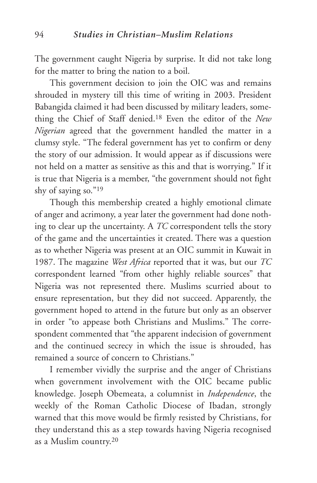The government caught Nigeria by surprise. It did not take long for the matter to bring the nation to a boil.

This government decision to join the OIC was and remains shrouded in mystery till this time of writing in 2003. President Babangida claimed it had been discussed by military leaders, something the Chief of Staff denied.18 Even the editor of the *New Nigerian* agreed that the government handled the matter in a clumsy style. "The federal government has yet to confirm or deny the story of our admission. It would appear as if discussions were not held on a matter as sensitive as this and that is worrying." If it is true that Nigeria is a member, "the government should not fight shy of saying so."19

Though this membership created a highly emotional climate of anger and acrimony, a year later the government had done nothing to clear up the uncertainty. A *TC* correspondent tells the story of the game and the uncertainties it created. There was a question as to whether Nigeria was present at an OIC summit in Kuwait in 1987. The magazine *West Africa* reported that it was, but our *TC* correspondent learned "from other highly reliable sources" that Nigeria was not represented there. Muslims scurried about to ensure representation, but they did not succeed. Apparently, the government hoped to attend in the future but only as an observer in order "to appease both Christians and Muslims." The correspondent commented that "the apparent indecision of government and the continued secrecy in which the issue is shrouded, has remained a source of concern to Christians."

I remember vividly the surprise and the anger of Christians when government involvement with the OIC became public knowledge. Joseph Obemeata, a columnist in *Independence*, the weekly of the Roman Catholic Diocese of Ibadan, strongly warned that this move would be firmly resisted by Christians, for they understand this as a step towards having Nigeria recognised as a Muslim country.20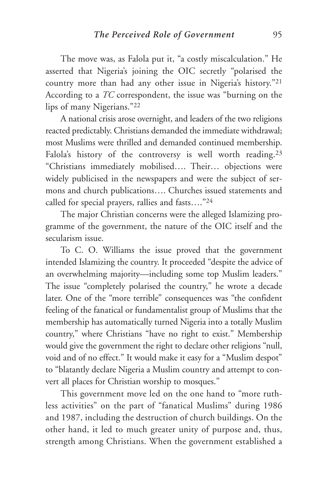The move was, as Falola put it, "a costly miscalculation." He asserted that Nigeria's joining the OIC secretly "polarised the country more than had any other issue in Nigeria's history."21 According to a *TC* correspondent, the issue was "burning on the lips of many Nigerians."22

A national crisis arose overnight, and leaders of the two religions reacted predictably. Christians demanded the immediate withdrawal; most Muslims were thrilled and demanded continued membership. Falola's history of the controversy is well worth reading.<sup>23</sup> "Christians immediately mobilised…. Their… objections were widely publicised in the newspapers and were the subject of sermons and church publications…. Churches issued statements and called for special prayers, rallies and fasts…."24

The major Christian concerns were the alleged Islamizing programme of the government, the nature of the OIC itself and the secularism issue.

To C. O. Williams the issue proved that the government intended Islamizing the country. It proceeded "despite the advice of an overwhelming majority—including some top Muslim leaders." The issue "completely polarised the country," he wrote a decade later. One of the "more terrible" consequences was "the confident feeling of the fanatical or fundamentalist group of Muslims that the membership has automatically turned Nigeria into a totally Muslim country," where Christians "have no right to exist." Membership would give the government the right to declare other religions "null, void and of no effect." It would make it easy for a "Muslim despot" to "blatantly declare Nigeria a Muslim country and attempt to convert all places for Christian worship to mosques."

This government move led on the one hand to "more ruthless activities" on the part of "fanatical Muslims" during 1986 and 1987, including the destruction of church buildings. On the other hand, it led to much greater unity of purpose and, thus, strength among Christians. When the government established a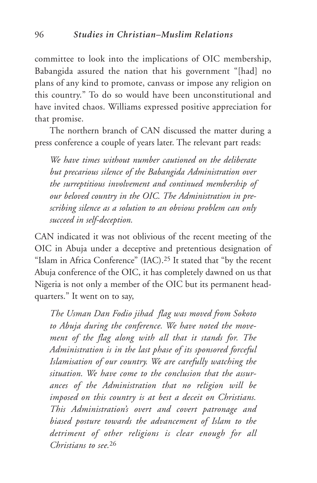committee to look into the implications of OIC membership, Babangida assured the nation that his government "[had] no plans of any kind to promote, canvass or impose any religion on this country." To do so would have been unconstitutional and have invited chaos. Williams expressed positive appreciation for that promise.

The northern branch of CAN discussed the matter during a press conference a couple of years later. The relevant part reads:

*We have times without number cautioned on the deliberate but precarious silence of the Babangida Administration over the surreptitious involvement and continued membership of our beloved country in the OIC. The Administration in prescribing silence as a solution to an obvious problem can only succeed in self-deception.*

CAN indicated it was not oblivious of the recent meeting of the OIC in Abuja under a deceptive and pretentious designation of "Islam in Africa Conference" (IAC).25 It stated that "by the recent Abuja conference of the OIC, it has completely dawned on us that Nigeria is not only a member of the OIC but its permanent headquarters." It went on to say,

*The Usman Dan Fodio jihad flag was moved from Sokoto to Abuja during the conference. We have noted the movement of the flag along with all that it stands for. The Administration is in the last phase of its sponsored forceful Islamisation of our country. We are carefully watching the situation. We have come to the conclusion that the assurances of the Administration that no religion will be imposed on this country is at best a deceit on Christians. This Administration's overt and covert patronage and biased posture towards the advancement of Islam to the detriment of other religions is clear enough for all Christians to see.*<sup>26</sup>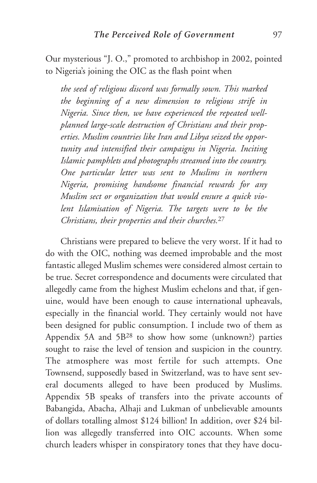Our mysterious "J. O.," promoted to archbishop in 2002, pointed to Nigeria's joining the OIC as the flash point when

*the seed of religious discord was formally sown. This marked the beginning of a new dimension to religious strife in Nigeria. Since then, we have experienced the repeated wellplanned large-scale destruction of Christians and their properties. Muslim countries like Iran and Libya seized the opportunity and intensified their campaigns in Nigeria. Inciting Islamic pamphlets and photographs streamed into the country. One particular letter was sent to Muslims in northern Nigeria, promising handsome financial rewards for any Muslim sect or organization that would ensure a quick violent Islamisation of Nigeria. The targets were to be the Christians, their properties and their churches.*<sup>27</sup>

Christians were prepared to believe the very worst. If it had to do with the OIC, nothing was deemed improbable and the most fantastic alleged Muslim schemes were considered almost certain to be true. Secret correspondence and documents were circulated that allegedly came from the highest Muslim echelons and that, if genuine, would have been enough to cause international upheavals, especially in the financial world. They certainly would not have been designed for public consumption. I include two of them as Appendix 5A and 5B28 to show how some (unknown?) parties sought to raise the level of tension and suspicion in the country. The atmosphere was most fertile for such attempts. One Townsend, supposedly based in Switzerland, was to have sent several documents alleged to have been produced by Muslims. Appendix 5B speaks of transfers into the private accounts of Babangida, Abacha, Alhaji and Lukman of unbelievable amounts of dollars totalling almost \$124 billion! In addition, over \$24 billion was allegedly transferred into OIC accounts. When some church leaders whisper in conspiratory tones that they have docu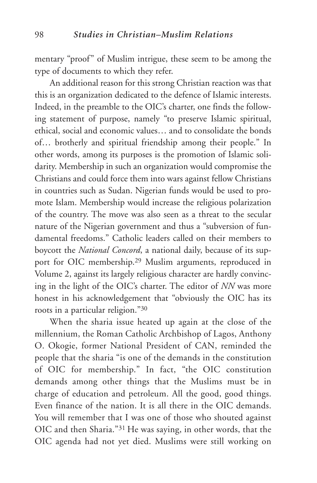mentary "proof" of Muslim intrigue, these seem to be among the type of documents to which they refer.

An additional reason for this strong Christian reaction was that this is an organization dedicated to the defence of Islamic interests. Indeed, in the preamble to the OIC's charter, one finds the following statement of purpose, namely "to preserve Islamic spiritual, ethical, social and economic values… and to consolidate the bonds of… brotherly and spiritual friendship among their people." In other words, among its purposes is the promotion of Islamic solidarity. Membership in such an organization would compromise the Christians and could force them into wars against fellow Christians in countries such as Sudan. Nigerian funds would be used to promote Islam. Membership would increase the religious polarization of the country. The move was also seen as a threat to the secular nature of the Nigerian government and thus a "subversion of fundamental freedoms." Catholic leaders called on their members to boycott the *National Concord*, a national daily, because of its support for OIC membership.29 Muslim arguments, reproduced in Volume 2, against its largely religious character are hardly convincing in the light of the OIC's charter. The editor of *NN* was more honest in his acknowledgement that "obviously the OIC has its roots in a particular religion."30

When the sharia issue heated up again at the close of the millennium, the Roman Catholic Archbishop of Lagos, Anthony O. Okogie, former National President of CAN, reminded the people that the sharia "is one of the demands in the constitution of OIC for membership." In fact, "the OIC constitution demands among other things that the Muslims must be in charge of education and petroleum. All the good, good things. Even finance of the nation. It is all there in the OIC demands. You will remember that I was one of those who shouted against OIC and then Sharia."31 He was saying, in other words, that the OIC agenda had not yet died. Muslims were still working on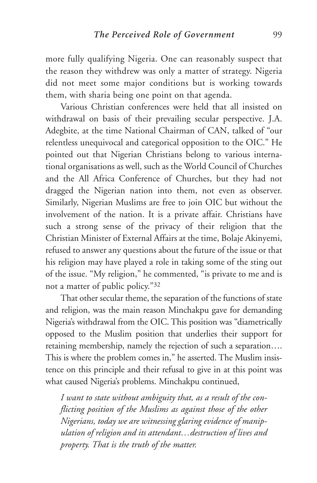more fully qualifying Nigeria. One can reasonably suspect that the reason they withdrew was only a matter of strategy. Nigeria did not meet some major conditions but is working towards them, with sharia being one point on that agenda.

Various Christian conferences were held that all insisted on withdrawal on basis of their prevailing secular perspective. J.A. Adegbite, at the time National Chairman of CAN, talked of "our relentless unequivocal and categorical opposition to the OIC." He pointed out that Nigerian Christians belong to various international organisations as well, such as the World Council of Churches and the All Africa Conference of Churches, but they had not dragged the Nigerian nation into them, not even as observer. Similarly, Nigerian Muslims are free to join OIC but without the involvement of the nation. It is a private affair. Christians have such a strong sense of the privacy of their religion that the Christian Minister of External Affairs at the time, Bolaje Akinyemi, refused to answer any questions about the future of the issue or that his religion may have played a role in taking some of the sting out of the issue. "My religion," he commented, "is private to me and is not a matter of public policy."32

That other secular theme, the separation of the functions of state and religion, was the main reason Minchakpu gave for demanding Nigeria's withdrawal from the OIC. This position was "diametrically opposed to the Muslim position that underlies their support for retaining membership, namely the rejection of such a separation…. This is where the problem comes in," he asserted. The Muslim insistence on this principle and their refusal to give in at this point was what caused Nigeria's problems. Minchakpu continued,

*I want to state without ambiguity that, as a result of the conflicting position of the Muslims as against those of the other Nigerians, today we are witnessing glaring evidence of manipulation of religion and its attendant…destruction of lives and property. That is the truth of the matter.*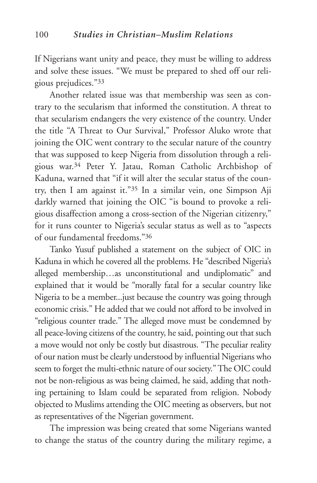If Nigerians want unity and peace, they must be willing to address and solve these issues. "We must be prepared to shed off our religious prejudices."33

Another related issue was that membership was seen as contrary to the secularism that informed the constitution. A threat to that secularism endangers the very existence of the country. Under the title "A Threat to Our Survival," Professor Aluko wrote that joining the OIC went contrary to the secular nature of the country that was supposed to keep Nigeria from dissolution through a religious war.34 Peter Y. Jatau, Roman Catholic Archbishop of Kaduna, warned that "if it will alter the secular status of the country, then I am against it."35 In a similar vein, one Simpson Aji darkly warned that joining the OIC "is bound to provoke a religious disaffection among a cross-section of the Nigerian citizenry," for it runs counter to Nigeria's secular status as well as to "aspects of our fundamental freedoms."36

Tanko Yusuf published a statement on the subject of OIC in Kaduna in which he covered all the problems. He "described Nigeria's alleged membership…as unconstitutional and undiplomatic" and explained that it would be "morally fatal for a secular country like Nigeria to be a member...just because the country was going through economic crisis." He added that we could not afford to be involved in "religious counter trade." The alleged move must be condemned by all peace-loving citizens of the country, he said, pointing out that such a move would not only be costly but disastrous. "The peculiar reality of our nation must be clearly understood by influential Nigerians who seem to forget the multi-ethnic nature of our society." The OIC could not be non-religious as was being claimed, he said, adding that nothing pertaining to Islam could be separated from religion. Nobody objected to Muslims attending the OIC meeting as observers, but not as representatives of the Nigerian government.

The impression was being created that some Nigerians wanted to change the status of the country during the military regime, a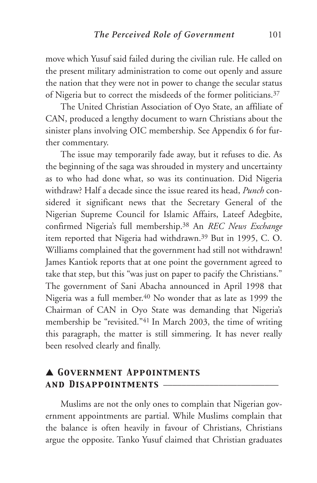move which Yusuf said failed during the civilian rule. He called on the present military administration to come out openly and assure the nation that they were not in power to change the secular status of Nigeria but to correct the misdeeds of the former politicians.37

The United Christian Association of Oyo State, an affiliate of CAN, produced a lengthy document to warn Christians about the sinister plans involving OIC membership. See Appendix 6 for further commentary.

The issue may temporarily fade away, but it refuses to die. As the beginning of the saga was shrouded in mystery and uncertainty as to who had done what, so was its continuation. Did Nigeria withdraw? Half a decade since the issue reared its head, *Punch* considered it significant news that the Secretary General of the Nigerian Supreme Council for Islamic Affairs, Lateef Adegbite, confirmed Nigeria's full membership.38 An *REC News Exchange* item reported that Nigeria had withdrawn.39 But in 1995, C. O. Williams complained that the government had still not withdrawn! James Kantiok reports that at one point the government agreed to take that step, but this "was just on paper to pacify the Christians." The government of Sani Abacha announced in April 1998 that Nigeria was a full member.40 No wonder that as late as 1999 the Chairman of CAN in Oyo State was demanding that Nigeria's membership be "revisited."41 In March 2003, the time of writing this paragraph, the matter is still simmering. It has never really been resolved clearly and finally.

### ▲ *Government Appointments and Disappointments* \_\_\_\_\_\_\_\_\_\_\_\_\_\_\_\_\_\_\_\_\_\_\_\_\_

Muslims are not the only ones to complain that Nigerian government appointments are partial. While Muslims complain that the balance is often heavily in favour of Christians, Christians argue the opposite. Tanko Yusuf claimed that Christian graduates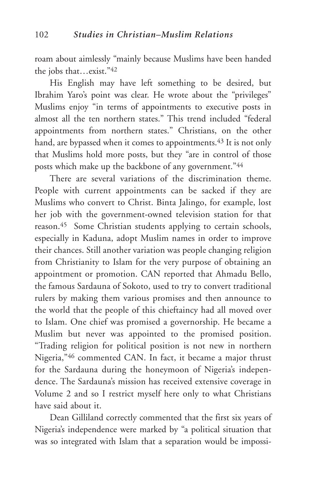roam about aimlessly "mainly because Muslims have been handed the jobs that…exist."42

His English may have left something to be desired, but Ibrahim Yaro's point was clear. He wrote about the "privileges" Muslims enjoy "in terms of appointments to executive posts in almost all the ten northern states." This trend included "federal appointments from northern states." Christians, on the other hand, are bypassed when it comes to appointments.<sup>43</sup> It is not only that Muslims hold more posts, but they "are in control of those posts which make up the backbone of any government."44

There are several variations of the discrimination theme. People with current appointments can be sacked if they are Muslims who convert to Christ. Binta Jalingo, for example, lost her job with the government-owned television station for that reason.45 Some Christian students applying to certain schools, especially in Kaduna, adopt Muslim names in order to improve their chances. Still another variation was people changing religion from Christianity to Islam for the very purpose of obtaining an appointment or promotion. CAN reported that Ahmadu Bello, the famous Sardauna of Sokoto, used to try to convert traditional rulers by making them various promises and then announce to the world that the people of this chieftaincy had all moved over to Islam. One chief was promised a governorship. He became a Muslim but never was appointed to the promised position. "Trading religion for political position is not new in northern Nigeria,"46 commented CAN. In fact, it became a major thrust for the Sardauna during the honeymoon of Nigeria's independence. The Sardauna's mission has received extensive coverage in Volume 2 and so I restrict myself here only to what Christians have said about it.

Dean Gilliland correctly commented that the first six years of Nigeria's independence were marked by "a political situation that was so integrated with Islam that a separation would be impossi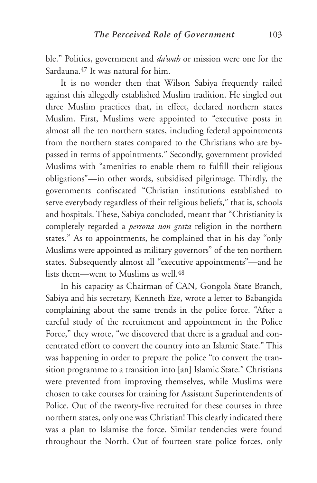ble." Politics, government and *da'wah* or mission were one for the Sardauna.47 It was natural for him.

It is no wonder then that Wilson Sabiya frequently railed against this allegedly established Muslim tradition. He singled out three Muslim practices that, in effect, declared northern states Muslim. First, Muslims were appointed to "executive posts in almost all the ten northern states, including federal appointments from the northern states compared to the Christians who are bypassed in terms of appointments." Secondly, government provided Muslims with "amenities to enable them to fulfill their religious obligations"—in other words, subsidised pilgrimage. Thirdly, the governments confiscated "Christian institutions established to serve everybody regardless of their religious beliefs," that is, schools and hospitals. These, Sabiya concluded, meant that "Christianity is completely regarded a *persona non grata* religion in the northern states." As to appointments, he complained that in his day "only Muslims were appointed as military governors" of the ten northern states. Subsequently almost all "executive appointments"—and he lists them—went to Muslims as well 48

In his capacity as Chairman of CAN, Gongola State Branch, Sabiya and his secretary, Kenneth Eze, wrote a letter to Babangida complaining about the same trends in the police force. "After a careful study of the recruitment and appointment in the Police Force," they wrote, "we discovered that there is a gradual and concentrated effort to convert the country into an Islamic State." This was happening in order to prepare the police "to convert the transition programme to a transition into [an] Islamic State." Christians were prevented from improving themselves, while Muslims were chosen to take courses for training for Assistant Superintendents of Police. Out of the twenty-five recruited for these courses in three northern states, only one was Christian! This clearly indicated there was a plan to Islamise the force. Similar tendencies were found throughout the North. Out of fourteen state police forces, only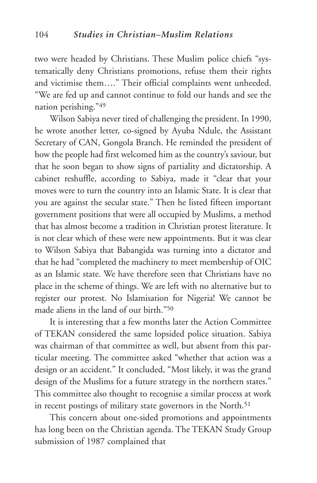two were headed by Christians. These Muslim police chiefs "systematically deny Christians promotions, refuse them their rights and victimise them…." Their official complaints went unheeded. "We are fed up and cannot continue to fold our hands and see the nation perishing."49

Wilson Sabiya never tired of challenging the president. In 1990, he wrote another letter, co-signed by Ayuba Ndule, the Assistant Secretary of CAN, Gongola Branch. He reminded the president of how the people had first welcomed him as the country's saviour, but that he soon began to show signs of partiality and dictatorship. A cabinet reshuffle, according to Sabiya, made it "clear that your moves were to turn the country into an Islamic State. It is clear that you are against the secular state." Then he listed fifteen important government positions that were all occupied by Muslims, a method that has almost become a tradition in Christian protest literature. It is not clear which of these were new appointments. But it was clear to Wilson Sabiya that Babangida was turning into a dictator and that he had "completed the machinery to meet membership of OIC as an Islamic state. We have therefore seen that Christians have no place in the scheme of things. We are left with no alternative but to register our protest. No Islamisation for Nigeria! We cannot be made aliens in the land of our birth."50

It is interesting that a few months later the Action Committee of TEKAN considered the same lopsided police situation. Sabiya was chairman of that committee as well, but absent from this particular meeting. The committee asked "whether that action was a design or an accident." It concluded, "Most likely, it was the grand design of the Muslims for a future strategy in the northern states." This committee also thought to recognise a similar process at work in recent postings of military state governors in the North.<sup>51</sup>

This concern about one-sided promotions and appointments has long been on the Christian agenda. The TEKAN Study Group submission of 1987 complained that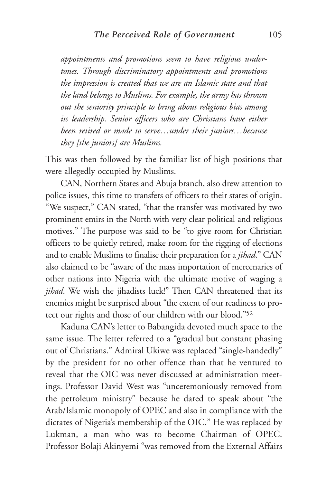*appointments and promotions seem to have religious undertones. Through discriminatory appointments and promotions the impression is created that we are an Islamic state and that the land belongs to Muslims. For example, the army has thrown out the seniority principle to bring about religious bias among its leadership. Senior officers who are Christians have either been retired or made to serve…under their juniors…because they [the juniors] are Muslims.* 

This was then followed by the familiar list of high positions that were allegedly occupied by Muslims.

CAN, Northern States and Abuja branch, also drew attention to police issues, this time to transfers of officers to their states of origin. "We suspect," CAN stated, "that the transfer was motivated by two prominent emirs in the North with very clear political and religious motives." The purpose was said to be "to give room for Christian officers to be quietly retired, make room for the rigging of elections and to enable Muslims to finalise their preparation for a *jihad*." CAN also claimed to be "aware of the mass importation of mercenaries of other nations into Nigeria with the ultimate motive of waging a *jihad*. We wish the jihadists luck!" Then CAN threatened that its enemies might be surprised about "the extent of our readiness to protect our rights and those of our children with our blood."52

Kaduna CAN's letter to Babangida devoted much space to the same issue. The letter referred to a "gradual but constant phasing out of Christians." Admiral Ukiwe was replaced "single-handedly" by the president for no other offence than that he ventured to reveal that the OIC was never discussed at administration meetings. Professor David West was "unceremoniously removed from the petroleum ministry" because he dared to speak about "the Arab/Islamic monopoly of OPEC and also in compliance with the dictates of Nigeria's membership of the OIC." He was replaced by Lukman, a man who was to become Chairman of OPEC. Professor Bolaji Akinyemi "was removed from the External Affairs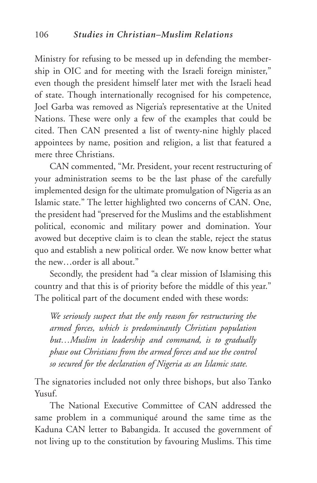Ministry for refusing to be messed up in defending the membership in OIC and for meeting with the Israeli foreign minister," even though the president himself later met with the Israeli head of state. Though internationally recognised for his competence, Joel Garba was removed as Nigeria's representative at the United Nations. These were only a few of the examples that could be cited. Then CAN presented a list of twenty-nine highly placed appointees by name, position and religion, a list that featured a mere three Christians.

CAN commented, "Mr. President, your recent restructuring of your administration seems to be the last phase of the carefully implemented design for the ultimate promulgation of Nigeria as an Islamic state." The letter highlighted two concerns of CAN. One, the president had "preserved for the Muslims and the establishment political, economic and military power and domination. Your avowed but deceptive claim is to clean the stable, reject the status quo and establish a new political order. We now know better what the new…order is all about."

Secondly, the president had "a clear mission of Islamising this country and that this is of priority before the middle of this year." The political part of the document ended with these words:

*We seriously suspect that the only reason for restructuring the armed forces, which is predominantly Christian population but…Muslim in leadership and command, is to gradually phase out Christians from the armed forces and use the control so secured for the declaration of Nigeria as an Islamic state.*

The signatories included not only three bishops, but also Tanko Yusuf.

The National Executive Committee of CAN addressed the same problem in a communiqué around the same time as the Kaduna CAN letter to Babangida. It accused the government of not living up to the constitution by favouring Muslims. This time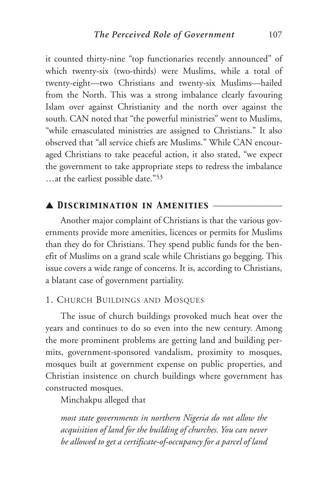it counted thirty-nine "top functionaries recently announced" of which twenty-six (two-thirds) were Muslims, while a total of twenty-eight—two Christians and twenty-six Muslims—hailed from the North. This was a strong imbalance clearly favouring Islam over against Christianity and the north over against the south. CAN noted that "the powerful ministries" went to Muslims, "while emasculated ministries are assigned to Christians." It also observed that "all service chiefs are Muslims." While CAN encouraged Christians to take peaceful action, it also stated, "we expect the government to take appropriate steps to redress the imbalance …at the earliest possible date."53

#### ▲ *Discrimination in Amenities* \_\_\_\_\_\_\_\_\_\_\_\_\_\_\_

Another major complaint of Christians is that the various governments provide more amenities, licences or permits for Muslims than they do for Christians. They spend public funds for the benefit of Muslims on a grand scale while Christians go begging. This issue covers a wide range of concerns. It is, according to Christians, a blatant case of government partiality.

#### 1. CHURCH BUILDINGS AND MOSQUES

The issue of church buildings provoked much heat over the years and continues to do so even into the new century. Among the more prominent problems are getting land and building permits, government-sponsored vandalism, proximity to mosques, mosques built at government expense on public properties, and Christian insistence on church buildings where government has constructed mosques.

Minchakpu alleged that

*most state governments in northern Nigeria do not allow the acquisition of land for the building of churches. You can never be allowed to get a certificate-of-occupancy for a parcel of land*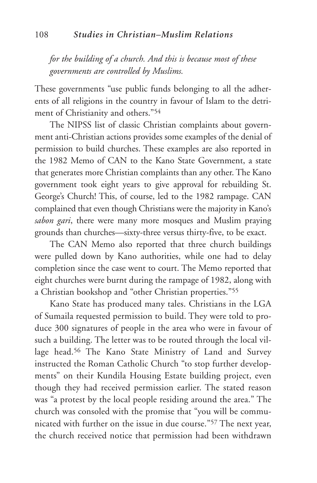*for the building of a church. And this is because most of these governments are controlled by Muslims.*

These governments "use public funds belonging to all the adherents of all religions in the country in favour of Islam to the detriment of Christianity and others."54

The NIPSS list of classic Christian complaints about government anti-Christian actions provides some examples of the denial of permission to build churches. These examples are also reported in the 1982 Memo of CAN to the Kano State Government, a state that generates more Christian complaints than any other. The Kano government took eight years to give approval for rebuilding St. George's Church! This, of course, led to the 1982 rampage. CAN complained that even though Christians were the majority in Kano's *sabon gari*, there were many more mosques and Muslim praying grounds than churches—sixty-three versus thirty-five, to be exact.

The CAN Memo also reported that three church buildings were pulled down by Kano authorities, while one had to delay completion since the case went to court. The Memo reported that eight churches were burnt during the rampage of 1982, along with a Christian bookshop and "other Christian properties."55

Kano State has produced many tales. Christians in the LGA of Sumaila requested permission to build. They were told to produce 300 signatures of people in the area who were in favour of such a building. The letter was to be routed through the local village head.<sup>56</sup> The Kano State Ministry of Land and Survey instructed the Roman Catholic Church "to stop further developments" on their Kundila Housing Estate building project, even though they had received permission earlier. The stated reason was "a protest by the local people residing around the area." The church was consoled with the promise that "you will be communicated with further on the issue in due course."57 The next year, the church received notice that permission had been withdrawn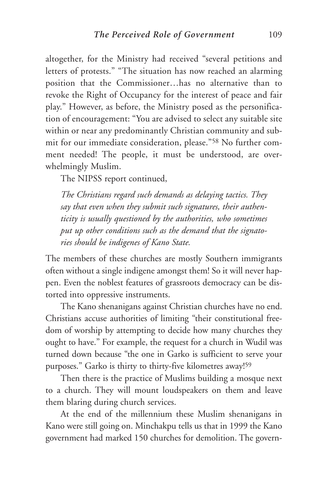altogether, for the Ministry had received "several petitions and letters of protests." "The situation has now reached an alarming position that the Commissioner…has no alternative than to revoke the Right of Occupancy for the interest of peace and fair play." However, as before, the Ministry posed as the personification of encouragement: "You are advised to select any suitable site within or near any predominantly Christian community and submit for our immediate consideration, please."58 No further comment needed! The people, it must be understood, are overwhelmingly Muslim.

The NIPSS report continued,

*The Christians regard such demands as delaying tactics. They say that even when they submit such signatures, their authenticity is usually questioned by the authorities, who sometimes put up other conditions such as the demand that the signatories should be indigenes of Kano State.* 

The members of these churches are mostly Southern immigrants often without a single indigene amongst them! So it will never happen. Even the noblest features of grassroots democracy can be distorted into oppressive instruments.

The Kano shenanigans against Christian churches have no end. Christians accuse authorities of limiting "their constitutional freedom of worship by attempting to decide how many churches they ought to have." For example, the request for a church in Wudil was turned down because "the one in Garko is sufficient to serve your purposes." Garko is thirty to thirty-five kilometres away!59

Then there is the practice of Muslims building a mosque next to a church. They will mount loudspeakers on them and leave them blaring during church services.

At the end of the millennium these Muslim shenanigans in Kano were still going on. Minchakpu tells us that in 1999 the Kano government had marked 150 churches for demolition. The govern-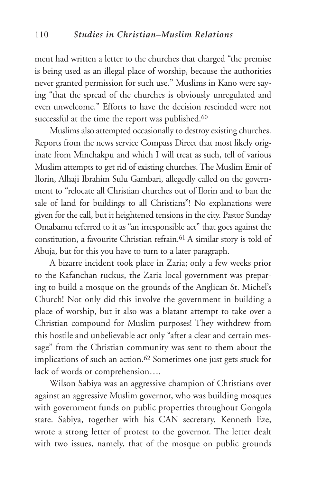ment had written a letter to the churches that charged "the premise is being used as an illegal place of worship, because the authorities never granted permission for such use." Muslims in Kano were saying "that the spread of the churches is obviously unregulated and even unwelcome." Efforts to have the decision rescinded were not successful at the time the report was published.<sup>60</sup>

Muslims also attempted occasionally to destroy existing churches. Reports from the news service Compass Direct that most likely originate from Minchakpu and which I will treat as such, tell of various Muslim attempts to get rid of existing churches. The Muslim Emir of Ilorin, Alhaji Ibrahim Sulu Gambari, allegedly called on the government to "relocate all Christian churches out of Ilorin and to ban the sale of land for buildings to all Christians"! No explanations were given for the call, but it heightened tensions in the city. Pastor Sunday Omabamu referred to it as "an irresponsible act" that goes against the constitution, a favourite Christian refrain.61 A similar story is told of Abuja, but for this you have to turn to a later paragraph.

A bizarre incident took place in Zaria; only a few weeks prior to the Kafanchan ruckus, the Zaria local government was preparing to build a mosque on the grounds of the Anglican St. Michel's Church! Not only did this involve the government in building a place of worship, but it also was a blatant attempt to take over a Christian compound for Muslim purposes! They withdrew from this hostile and unbelievable act only "after a clear and certain message" from the Christian community was sent to them about the implications of such an action.62 Sometimes one just gets stuck for lack of words or comprehension….

Wilson Sabiya was an aggressive champion of Christians over against an aggressive Muslim governor, who was building mosques with government funds on public properties throughout Gongola state. Sabiya, together with his CAN secretary, Kenneth Eze, wrote a strong letter of protest to the governor. The letter dealt with two issues, namely, that of the mosque on public grounds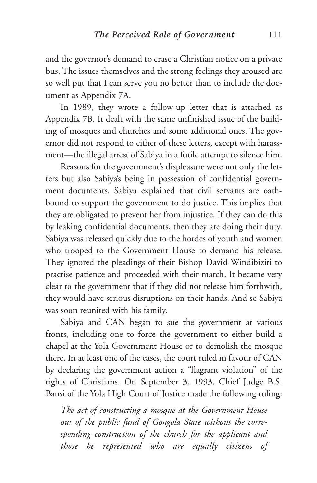and the governor's demand to erase a Christian notice on a private bus. The issues themselves and the strong feelings they aroused are so well put that I can serve you no better than to include the document as Appendix 7A.

In 1989, they wrote a follow-up letter that is attached as Appendix 7B. It dealt with the same unfinished issue of the building of mosques and churches and some additional ones. The governor did not respond to either of these letters, except with harassment—the illegal arrest of Sabiya in a futile attempt to silence him.

Reasons for the government's displeasure were not only the letters but also Sabiya's being in possession of confidential government documents. Sabiya explained that civil servants are oathbound to support the government to do justice. This implies that they are obligated to prevent her from injustice. If they can do this by leaking confidential documents, then they are doing their duty. Sabiya was released quickly due to the hordes of youth and women who trooped to the Government House to demand his release. They ignored the pleadings of their Bishop David Windibiziri to practise patience and proceeded with their march. It became very clear to the government that if they did not release him forthwith, they would have serious disruptions on their hands. And so Sabiya was soon reunited with his family.

Sabiya and CAN began to sue the government at various fronts, including one to force the government to either build a chapel at the Yola Government House or to demolish the mosque there. In at least one of the cases, the court ruled in favour of CAN by declaring the government action a "flagrant violation" of the rights of Christians. On September 3, 1993, Chief Judge B.S. Bansi of the Yola High Court of Justice made the following ruling:

*The act of constructing a mosque at the Government House out of the public fund of Gongola State without the corresponding construction of the church for the applicant and those he represented who are equally citizens of*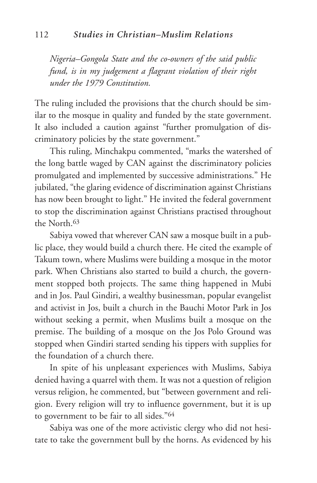*Nigeria–Gongola State and the co-owners of the said public fund, is in my judgement a flagrant violation of their right under the 1979 Constitution.* 

The ruling included the provisions that the church should be similar to the mosque in quality and funded by the state government. It also included a caution against "further promulgation of discriminatory policies by the state government."

This ruling, Minchakpu commented, "marks the watershed of the long battle waged by CAN against the discriminatory policies promulgated and implemented by successive administrations." He jubilated, "the glaring evidence of discrimination against Christians has now been brought to light." He invited the federal government to stop the discrimination against Christians practised throughout the North.<sup>63</sup>

Sabiya vowed that wherever CAN saw a mosque built in a public place, they would build a church there. He cited the example of Takum town, where Muslims were building a mosque in the motor park. When Christians also started to build a church, the government stopped both projects. The same thing happened in Mubi and in Jos. Paul Gindiri, a wealthy businessman, popular evangelist and activist in Jos, built a church in the Bauchi Motor Park in Jos without seeking a permit, when Muslims built a mosque on the premise. The building of a mosque on the Jos Polo Ground was stopped when Gindiri started sending his tippers with supplies for the foundation of a church there.

In spite of his unpleasant experiences with Muslims, Sabiya denied having a quarrel with them. It was not a question of religion versus religion, he commented, but "between government and religion. Every religion will try to influence government, but it is up to government to be fair to all sides."64

Sabiya was one of the more activistic clergy who did not hesitate to take the government bull by the horns. As evidenced by his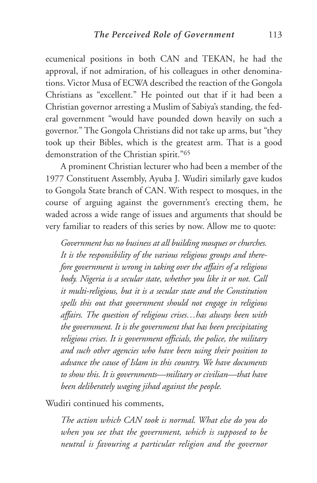ecumenical positions in both CAN and TEKAN, he had the approval, if not admiration, of his colleagues in other denominations. Victor Musa of ECWA described the reaction of the Gongola Christians as "excellent." He pointed out that if it had been a Christian governor arresting a Muslim of Sabiya's standing, the federal government "would have pounded down heavily on such a governor." The Gongola Christians did not take up arms, but "they took up their Bibles, which is the greatest arm. That is a good demonstration of the Christian spirit."65

A prominent Christian lecturer who had been a member of the 1977 Constituent Assembly, Ayuba J. Wudiri similarly gave kudos to Gongola State branch of CAN. With respect to mosques, in the course of arguing against the government's erecting them, he waded across a wide range of issues and arguments that should be very familiar to readers of this series by now. Allow me to quote:

*Government has no business at all building mosques or churches. It is the responsibility of the various religious groups and therefore government is wrong in taking over the affairs of a religious body. Nigeria is a secular state, whether you like it or not. Call it multi-religious, but it is a secular state and the Constitution spells this out that government should not engage in religious affairs. The question of religious crises…has always been with the government. It is the government that has been precipitating religious crises. It is government officials, the police, the military and such other agencies who have been using their position to advance the cause of Islam in this country. We have documents to show this. It is governments—military or civilian—that have been deliberately waging jihad against the people.*

Wudiri continued his comments,

*The action which CAN took is normal. What else do you do when you see that the government, which is supposed to be neutral is favouring a particular religion and the governor*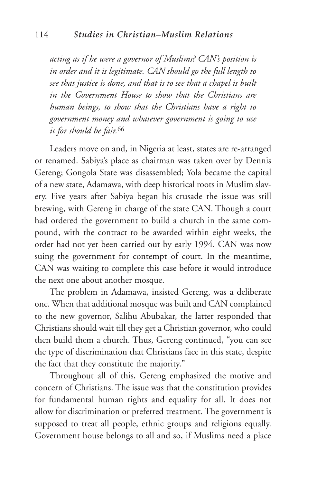*acting as if he were a governor of Muslims? CAN's position is in order and it is legitimate. CAN should go the full length to see that justice is done, and that is to see that a chapel is built in the Government House to show that the Christians are human beings, to show that the Christians have a right to government money and whatever government is going to use it for should be fair.*<sup>66</sup>

Leaders move on and, in Nigeria at least, states are re-arranged or renamed. Sabiya's place as chairman was taken over by Dennis Gereng; Gongola State was disassembled; Yola became the capital of a new state, Adamawa, with deep historical roots in Muslim slavery. Five years after Sabiya began his crusade the issue was still brewing, with Gereng in charge of the state CAN. Though a court had ordered the government to build a church in the same compound, with the contract to be awarded within eight weeks, the order had not yet been carried out by early 1994. CAN was now suing the government for contempt of court. In the meantime, CAN was waiting to complete this case before it would introduce the next one about another mosque.

The problem in Adamawa, insisted Gereng, was a deliberate one. When that additional mosque was built and CAN complained to the new governor, Salihu Abubakar, the latter responded that Christians should wait till they get a Christian governor, who could then build them a church. Thus, Gereng continued, "you can see the type of discrimination that Christians face in this state, despite the fact that they constitute the majority."

Throughout all of this, Gereng emphasized the motive and concern of Christians. The issue was that the constitution provides for fundamental human rights and equality for all. It does not allow for discrimination or preferred treatment. The government is supposed to treat all people, ethnic groups and religions equally. Government house belongs to all and so, if Muslims need a place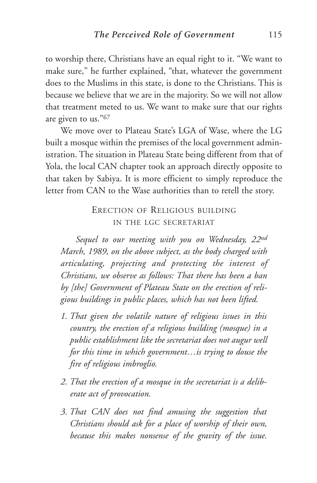to worship there, Christians have an equal right to it. "We want to make sure," he further explained, "that, whatever the government does to the Muslims in this state, is done to the Christians. This is because we believe that we are in the majority. So we will not allow that treatment meted to us. We want to make sure that our rights are given to us."67

We move over to Plateau State's LGA of Wase, where the LG built a mosque within the premises of the local government administration. The situation in Plateau State being different from that of Yola, the local CAN chapter took an approach directly opposite to that taken by Sabiya. It is more efficient to simply reproduce the letter from CAN to the Wase authorities than to retell the story.

#### ERECTION OF RELIGIOUS BUILDING IN THE LGC SECRETARIAT

*Sequel to our meeting with you on Wednesday, 22nd March, 1989, on the above subject, as the body charged with articulating, projecting and protecting the interest of Christians, we observe as follows: That there has been a ban by [the] Government of Plateau State on the erection of religious buildings in public places, which has not been lifted.*

- *1. That given the volatile nature of religious issues in this country, the erection of a religious building (mosque) in a public establishment like the secretariat does not augur well for this time in which government…is trying to douse the fire of religious imbroglio.*
- *2. That the erection of a mosque in the secretariat is a deliberate act of provocation.*
- *3. That CAN does not find amusing the suggestion that Christians should ask for a place of worship of their own, because this makes nonsense of the gravity of the issue.*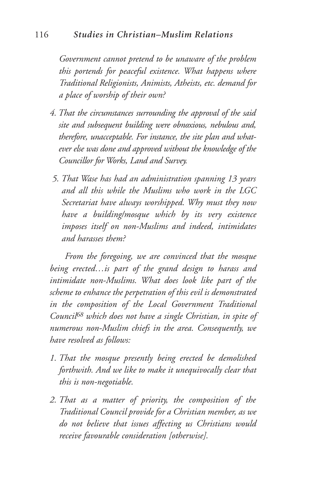*Government cannot pretend to be unaware of the problem this portends for peaceful existence. What happens where Traditional Religionists, Animists, Atheists, etc. demand for a place of worship of their own?*

- *4. That the circumstances surrounding the approval of the said site and subsequent building were obnoxious, nebulous and, therefore, unacceptable. For instance, the site plan and whatever else was done and approved without the knowledge of the Councillor for Works, Land and Survey.*
- *5. That Wase has had an administration spanning 13 years and all this while the Muslims who work in the LGC Secretariat have always worshipped. Why must they now have a building/mosque which by its very existence imposes itself on non-Muslims and indeed, intimidates and harasses them?*

*From the foregoing, we are convinced that the mosque being erected…is part of the grand design to harass and intimidate non-Muslims. What does look like part of the scheme to enhance the perpetration of this evil is demonstrated in the composition of the Local Government Traditional Council68 which does not have a single Christian, in spite of numerous non-Muslim chiefs in the area. Consequently, we have resolved as follows:*

- *1. That the mosque presently being erected be demolished forthwith. And we like to make it unequivocally clear that this is non-negotiable.*
- *2. That as a matter of priority, the composition of the Traditional Council provide for a Christian member, as we do not believe that issues affecting us Christians would receive favourable consideration [otherwise].*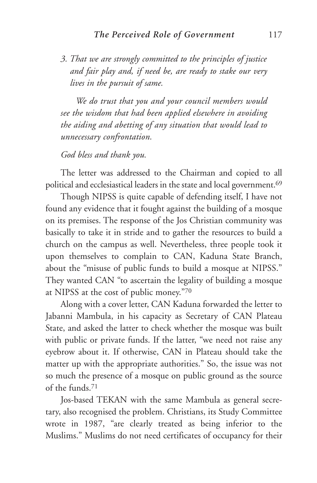*3. That we are strongly committed to the principles of justice and fair play and, if need be, are ready to stake our very lives in the pursuit of same.*

*We do trust that you and your council members would see the wisdom that had been applied elsewhere in avoiding the aiding and abetting of any situation that would lead to unnecessary confrontation.*

*God bless and thank you.*

The letter was addressed to the Chairman and copied to all political and ecclesiastical leaders in the state and local government.69

Though NIPSS is quite capable of defending itself, I have not found any evidence that it fought against the building of a mosque on its premises. The response of the Jos Christian community was basically to take it in stride and to gather the resources to build a church on the campus as well. Nevertheless, three people took it upon themselves to complain to CAN, Kaduna State Branch, about the "misuse of public funds to build a mosque at NIPSS." They wanted CAN "to ascertain the legality of building a mosque at NIPSS at the cost of public money."70

Along with a cover letter, CAN Kaduna forwarded the letter to Jabanni Mambula, in his capacity as Secretary of CAN Plateau State, and asked the latter to check whether the mosque was built with public or private funds. If the latter, "we need not raise any eyebrow about it. If otherwise, CAN in Plateau should take the matter up with the appropriate authorities." So, the issue was not so much the presence of a mosque on public ground as the source of the funds.71

Jos-based TEKAN with the same Mambula as general secretary, also recognised the problem. Christians, its Study Committee wrote in 1987, "are clearly treated as being inferior to the Muslims." Muslims do not need certificates of occupancy for their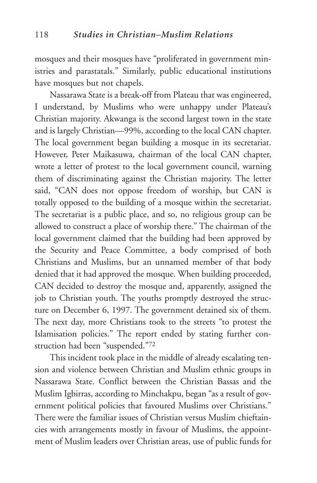mosques and their mosques have "proliferated in government ministries and parastatals." Similarly, public educational institutions have mosques but not chapels.

Nassarawa State is a break-off from Plateau that was engineered, I understand, by Muslims who were unhappy under Plateau's Christian majority. Akwanga is the second largest town in the state and is largely Christian—99%, according to the local CAN chapter. The local government began building a mosque in its secretariat. However, Peter Maikasuwa, chairman of the local CAN chapter, wrote a letter of protest to the local government council, warning them of discriminating against the Christian majority. The letter said, "CAN does not oppose freedom of worship, but CAN is totally opposed to the building of a mosque within the secretariat. The secretariat is a public place, and so, no religious group can be allowed to construct a place of worship there." The chairman of the local government claimed that the building had been approved by the Security and Peace Committee, a body comprised of both Christians and Muslims, but an unnamed member of that body denied that it had approved the mosque. When building proceeded, CAN decided to destroy the mosque and, apparently, assigned the job to Christian youth. The youths promptly destroyed the structure on December 6, 1997. The government detained six of them. The next day, more Christians took to the streets "to protest the Islamisation policies." The report ended by stating further construction had been "suspended."72

This incident took place in the middle of already escalating tension and violence between Christian and Muslim ethnic groups in Nassarawa State. Conflict between the Christian Bassas and the Muslim Igbirras, according to Minchakpu, began "as a result of government political policies that favoured Muslims over Christians." There were the familiar issues of Christian versus Muslim chieftaincies with arrangements mostly in favour of Muslims, the appointment of Muslim leaders over Christian areas, use of public funds for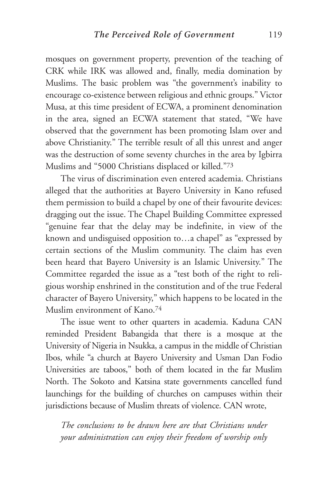mosques on government property, prevention of the teaching of CRK while IRK was allowed and, finally, media domination by Muslims. The basic problem was "the government's inability to encourage co-existence between religious and ethnic groups." Victor Musa, at this time president of ECWA, a prominent denomination in the area, signed an ECWA statement that stated, "We have observed that the government has been promoting Islam over and above Christianity." The terrible result of all this unrest and anger was the destruction of some seventy churches in the area by Igbirra Muslims and "5000 Christians displaced or killed."73

The virus of discrimination even entered academia. Christians alleged that the authorities at Bayero University in Kano refused them permission to build a chapel by one of their favourite devices: dragging out the issue. The Chapel Building Committee expressed "genuine fear that the delay may be indefinite, in view of the known and undisguised opposition to…a chapel" as "expressed by certain sections of the Muslim community. The claim has even been heard that Bayero University is an Islamic University." The Committee regarded the issue as a "test both of the right to religious worship enshrined in the constitution and of the true Federal character of Bayero University," which happens to be located in the Muslim environment of Kano.74

The issue went to other quarters in academia. Kaduna CAN reminded President Babangida that there is a mosque at the University of Nigeria in Nsukka, a campus in the middle of Christian Ibos, while "a church at Bayero University and Usman Dan Fodio Universities are taboos," both of them located in the far Muslim North. The Sokoto and Katsina state governments cancelled fund launchings for the building of churches on campuses within their jurisdictions because of Muslim threats of violence. CAN wrote,

*The conclusions to be drawn here are that Christians under your administration can enjoy their freedom of worship only*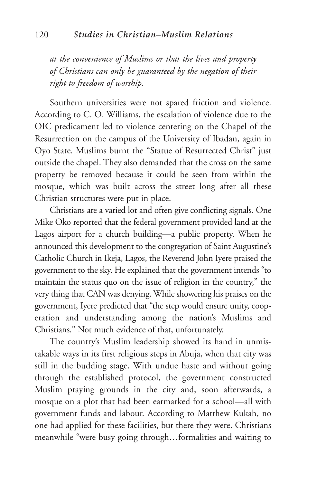*at the convenience of Muslims or that the lives and property of Christians can only be guaranteed by the negation of their right to freedom of worship.*

Southern universities were not spared friction and violence. According to C. O. Williams, the escalation of violence due to the OIC predicament led to violence centering on the Chapel of the Resurrection on the campus of the University of Ibadan, again in Oyo State. Muslims burnt the "Statue of Resurrected Christ" just outside the chapel. They also demanded that the cross on the same property be removed because it could be seen from within the mosque, which was built across the street long after all these Christian structures were put in place.

Christians are a varied lot and often give conflicting signals. One Mike Oko reported that the federal government provided land at the Lagos airport for a church building—a public property. When he announced this development to the congregation of Saint Augustine's Catholic Church in Ikeja, Lagos, the Reverend John Iyere praised the government to the sky. He explained that the government intends "to maintain the status quo on the issue of religion in the country," the very thing that CAN was denying. While showering his praises on the government, Iyere predicted that "the step would ensure unity, cooperation and understanding among the nation's Muslims and Christians." Not much evidence of that, unfortunately.

The country's Muslim leadership showed its hand in unmistakable ways in its first religious steps in Abuja, when that city was still in the budding stage. With undue haste and without going through the established protocol, the government constructed Muslim praying grounds in the city and, soon afterwards, a mosque on a plot that had been earmarked for a school—all with government funds and labour. According to Matthew Kukah, no one had applied for these facilities, but there they were. Christians meanwhile "were busy going through…formalities and waiting to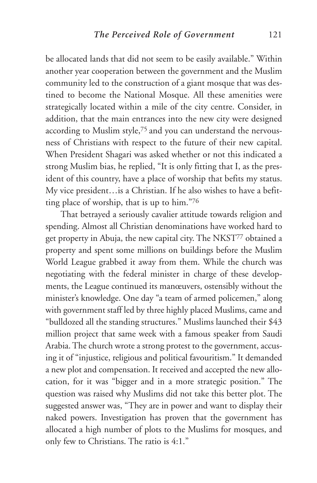be allocated lands that did not seem to be easily available." Within another year cooperation between the government and the Muslim community led to the construction of a giant mosque that was destined to become the National Mosque. All these amenities were strategically located within a mile of the city centre. Consider, in addition, that the main entrances into the new city were designed according to Muslim style,75 and you can understand the nervousness of Christians with respect to the future of their new capital. When President Shagari was asked whether or not this indicated a strong Muslim bias, he replied, "It is only fitting that I, as the president of this country, have a place of worship that befits my status. My vice president…is a Christian. If he also wishes to have a befitting place of worship, that is up to him."76

That betrayed a seriously cavalier attitude towards religion and spending. Almost all Christian denominations have worked hard to get property in Abuja, the new capital city. The NKST77 obtained a property and spent some millions on buildings before the Muslim World League grabbed it away from them. While the church was negotiating with the federal minister in charge of these developments, the League continued its manœuvers, ostensibly without the minister's knowledge. One day "a team of armed policemen," along with government staff led by three highly placed Muslims, came and "bulldozed all the standing structures." Muslims launched their \$43 million project that same week with a famous speaker from Saudi Arabia. The church wrote a strong protest to the government, accusing it of "injustice, religious and political favouritism." It demanded a new plot and compensation. It received and accepted the new allocation, for it was "bigger and in a more strategic position." The question was raised why Muslims did not take this better plot. The suggested answer was, "They are in power and want to display their naked powers. Investigation has proven that the government has allocated a high number of plots to the Muslims for mosques, and only few to Christians. The ratio is 4:1."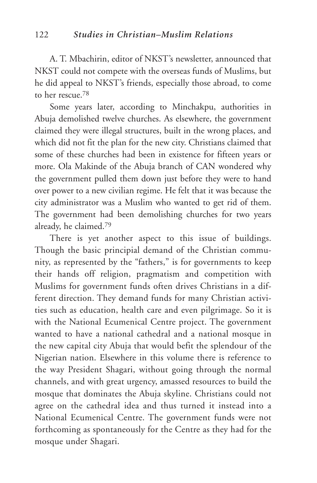A. T. Mbachirin, editor of NKST's newsletter, announced that NKST could not compete with the overseas funds of Muslims, but he did appeal to NKST's friends, especially those abroad, to come to her rescue<sup>78</sup>

Some years later, according to Minchakpu, authorities in Abuja demolished twelve churches. As elsewhere, the government claimed they were illegal structures, built in the wrong places, and which did not fit the plan for the new city. Christians claimed that some of these churches had been in existence for fifteen years or more. Ola Makinde of the Abuja branch of CAN wondered why the government pulled them down just before they were to hand over power to a new civilian regime. He felt that it was because the city administrator was a Muslim who wanted to get rid of them. The government had been demolishing churches for two years already, he claimed.79

There is yet another aspect to this issue of buildings. Though the basic principial demand of the Christian community, as represented by the "fathers," is for governments to keep their hands off religion, pragmatism and competition with Muslims for government funds often drives Christians in a different direction. They demand funds for many Christian activities such as education, health care and even pilgrimage. So it is with the National Ecumenical Centre project. The government wanted to have a national cathedral and a national mosque in the new capital city Abuja that would befit the splendour of the Nigerian nation. Elsewhere in this volume there is reference to the way President Shagari, without going through the normal channels, and with great urgency, amassed resources to build the mosque that dominates the Abuja skyline. Christians could not agree on the cathedral idea and thus turned it instead into a National Ecumenical Centre. The government funds were not forthcoming as spontaneously for the Centre as they had for the mosque under Shagari.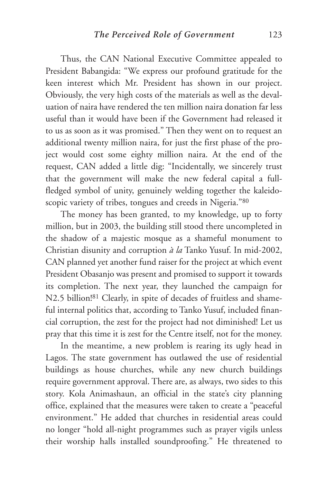Thus, the CAN National Executive Committee appealed to President Babangida: "We express our profound gratitude for the keen interest which Mr. President has shown in our project. Obviously, the very high costs of the materials as well as the devaluation of naira have rendered the ten million naira donation far less useful than it would have been if the Government had released it to us as soon as it was promised." Then they went on to request an additional twenty million naira, for just the first phase of the project would cost some eighty million naira. At the end of the request, CAN added a little dig: "Incidentally, we sincerely trust that the government will make the new federal capital a fullfledged symbol of unity, genuinely welding together the kaleidoscopic variety of tribes, tongues and creeds in Nigeria."80

The money has been granted, to my knowledge, up to forty million, but in 2003, the building still stood there uncompleted in the shadow of a majestic mosque as a shameful monument to Christian disunity and corruption *à la* Tanko Yusuf. In mid-2002, CAN planned yet another fund raiser for the project at which event President Obasanjo was present and promised to support it towards its completion. The next year, they launched the campaign for N2.5 billion!<sup>81</sup> Clearly, in spite of decades of fruitless and shameful internal politics that, according to Tanko Yusuf, included financial corruption, the zest for the project had not diminished! Let us pray that this time it is zest for the Centre itself, not for the money.

In the meantime, a new problem is rearing its ugly head in Lagos. The state government has outlawed the use of residential buildings as house churches, while any new church buildings require government approval. There are, as always, two sides to this story. Kola Animashaun, an official in the state's city planning office, explained that the measures were taken to create a "peaceful environment." He added that churches in residential areas could no longer "hold all-night programmes such as prayer vigils unless their worship halls installed soundproofing." He threatened to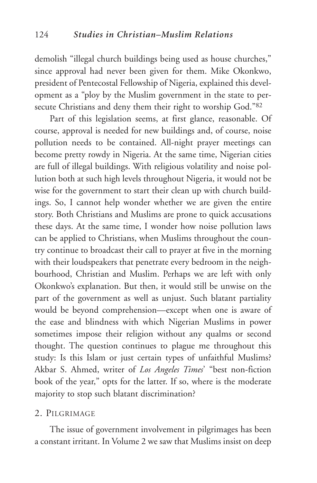demolish "illegal church buildings being used as house churches," since approval had never been given for them. Mike Okonkwo, president of Pentecostal Fellowship of Nigeria, explained this development as a "ploy by the Muslim government in the state to persecute Christians and deny them their right to worship God."82

Part of this legislation seems, at first glance, reasonable. Of course, approval is needed for new buildings and, of course, noise pollution needs to be contained. All-night prayer meetings can become pretty rowdy in Nigeria. At the same time, Nigerian cities are full of illegal buildings. With religious volatility and noise pollution both at such high levels throughout Nigeria, it would not be wise for the government to start their clean up with church buildings. So, I cannot help wonder whether we are given the entire story. Both Christians and Muslims are prone to quick accusations these days. At the same time, I wonder how noise pollution laws can be applied to Christians, when Muslims throughout the country continue to broadcast their call to prayer at five in the morning with their loudspeakers that penetrate every bedroom in the neighbourhood, Christian and Muslim. Perhaps we are left with only Okonkwo's explanation. But then, it would still be unwise on the part of the government as well as unjust. Such blatant partiality would be beyond comprehension—except when one is aware of the ease and blindness with which Nigerian Muslims in power sometimes impose their religion without any qualms or second thought. The question continues to plague me throughout this study: Is this Islam or just certain types of unfaithful Muslims? Akbar S. Ahmed, writer of *Los Angeles Times*' "best non-fiction book of the year," opts for the latter. If so, where is the moderate majority to stop such blatant discrimination?

#### 2. PILGRIMAGE

The issue of government involvement in pilgrimages has been a constant irritant. In Volume 2 we saw that Muslims insist on deep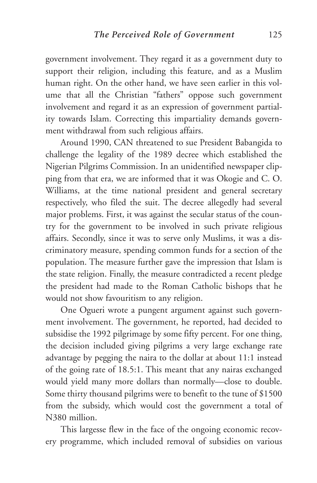government involvement. They regard it as a government duty to support their religion, including this feature, and as a Muslim human right. On the other hand, we have seen earlier in this volume that all the Christian "fathers" oppose such government involvement and regard it as an expression of government partiality towards Islam. Correcting this impartiality demands government withdrawal from such religious affairs.

Around 1990, CAN threatened to sue President Babangida to challenge the legality of the 1989 decree which established the Nigerian Pilgrims Commission. In an unidentified newspaper clipping from that era, we are informed that it was Okogie and C. O. Williams, at the time national president and general secretary respectively, who filed the suit. The decree allegedly had several major problems. First, it was against the secular status of the country for the government to be involved in such private religious affairs. Secondly, since it was to serve only Muslims, it was a discriminatory measure, spending common funds for a section of the population. The measure further gave the impression that Islam is the state religion. Finally, the measure contradicted a recent pledge the president had made to the Roman Catholic bishops that he would not show favouritism to any religion.

One Ogueri wrote a pungent argument against such government involvement. The government, he reported, had decided to subsidise the 1992 pilgrimage by some fifty percent. For one thing, the decision included giving pilgrims a very large exchange rate advantage by pegging the naira to the dollar at about 11:1 instead of the going rate of 18.5:1. This meant that any nairas exchanged would yield many more dollars than normally—close to double. Some thirty thousand pilgrims were to benefit to the tune of \$1500 from the subsidy, which would cost the government a total of N380 million.

This largesse flew in the face of the ongoing economic recovery programme, which included removal of subsidies on various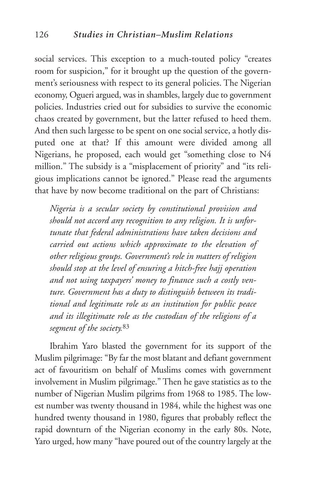social services. This exception to a much-touted policy "creates room for suspicion," for it brought up the question of the government's seriousness with respect to its general policies. The Nigerian economy, Ogueri argued, was in shambles, largely due to government policies. Industries cried out for subsidies to survive the economic chaos created by government, but the latter refused to heed them. And then such largesse to be spent on one social service, a hotly disputed one at that? If this amount were divided among all Nigerians, he proposed, each would get "something close to N4 million." The subsidy is a "misplacement of priority" and "its religious implications cannot be ignored." Please read the arguments that have by now become traditional on the part of Christians:

*Nigeria is a secular society by constitutional provision and should not accord any recognition to any religion. It is unfortunate that federal administrations have taken decisions and carried out actions which approximate to the elevation of other religious groups. Government's role in matters of religion should stop at the level of ensuring a hitch-free hajj operation and not using taxpayers' money to finance such a costly venture. Government has a duty to distinguish between its traditional and legitimate role as an institution for public peace and its illegitimate role as the custodian of the religions of a segment of the society.*<sup>83</sup>

Ibrahim Yaro blasted the government for its support of the Muslim pilgrimage: "By far the most blatant and defiant government act of favouritism on behalf of Muslims comes with government involvement in Muslim pilgrimage." Then he gave statistics as to the number of Nigerian Muslim pilgrims from 1968 to 1985. The lowest number was twenty thousand in 1984, while the highest was one hundred twenty thousand in 1980, figures that probably reflect the rapid downturn of the Nigerian economy in the early 80s. Note, Yaro urged, how many "have poured out of the country largely at the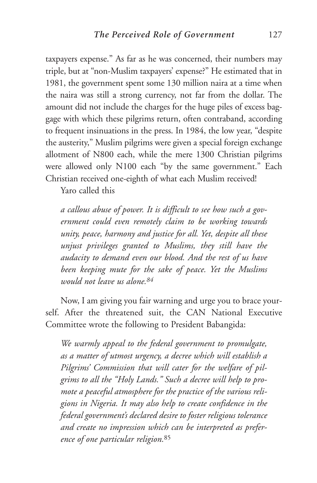taxpayers expense." As far as he was concerned, their numbers may triple, but at "non-Muslim taxpayers' expense?" He estimated that in 1981, the government spent some 130 million naira at a time when the naira was still a strong currency, not far from the dollar. The amount did not include the charges for the huge piles of excess baggage with which these pilgrims return, often contraband, according to frequent insinuations in the press. In 1984, the low year, "despite the austerity," Muslim pilgrims were given a special foreign exchange allotment of N800 each, while the mere 1300 Christian pilgrims were allowed only N100 each "by the same government." Each Christian received one-eighth of what each Muslim received!

Yaro called this

*a callous abuse of power. It is difficult to see how such a government could even remotely claim to be working towards unity, peace, harmony and justice for all. Yet, despite all these unjust privileges granted to Muslims, they still have the audacity to demand even our blood. And the rest of us have been keeping mute for the sake of peace. Yet the Muslims would not leave us alone.84*

Now, I am giving you fair warning and urge you to brace yourself. After the threatened suit, the CAN National Executive Committee wrote the following to President Babangida:

*We warmly appeal to the federal government to promulgate, as a matter of utmost urgency, a decree which will establish a Pilgrims' Commission that will cater for the welfare of pilgrims to all the "Holy Lands." Such a decree will help to promote a peaceful atmosphere for the practice of the various religions in Nigeria. It may also help to create confidence in the federal government's declared desire to foster religious tolerance and create no impression which can be interpreted as preference of one particular religion.*<sup>85</sup>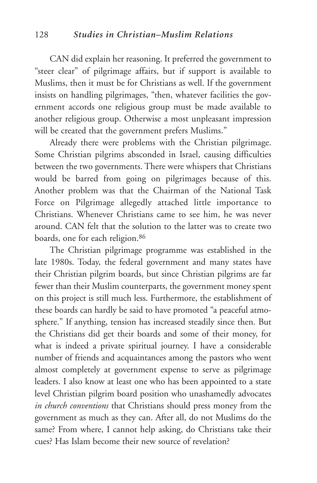CAN did explain her reasoning. It preferred the government to "steer clear" of pilgrimage affairs, but if support is available to Muslims, then it must be for Christians as well. If the government insists on handling pilgrimages, "then, whatever facilities the government accords one religious group must be made available to another religious group. Otherwise a most unpleasant impression will be created that the government prefers Muslims."

Already there were problems with the Christian pilgrimage. Some Christian pilgrims absconded in Israel, causing difficulties between the two governments. There were whispers that Christians would be barred from going on pilgrimages because of this. Another problem was that the Chairman of the National Task Force on Pilgrimage allegedly attached little importance to Christians. Whenever Christians came to see him, he was never around. CAN felt that the solution to the latter was to create two boards, one for each religion.86

The Christian pilgrimage programme was established in the late 1980s. Today, the federal government and many states have their Christian pilgrim boards, but since Christian pilgrims are far fewer than their Muslim counterparts, the government money spent on this project is still much less. Furthermore, the establishment of these boards can hardly be said to have promoted "a peaceful atmosphere." If anything, tension has increased steadily since then. But the Christians did get their boards and some of their money, for what is indeed a private spiritual journey. I have a considerable number of friends and acquaintances among the pastors who went almost completely at government expense to serve as pilgrimage leaders. I also know at least one who has been appointed to a state level Christian pilgrim board position who unashamedly advocates *in church conventions* that Christians should press money from the government as much as they can. After all, do not Muslims do the same? From where, I cannot help asking, do Christians take their cues? Has Islam become their new source of revelation?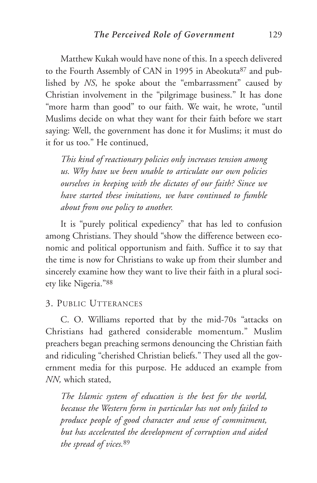Matthew Kukah would have none of this. In a speech delivered to the Fourth Assembly of CAN in 1995 in Abeokuta<sup>87</sup> and published by *NS*, he spoke about the "embarrassment" caused by Christian involvement in the "pilgrimage business." It has done "more harm than good" to our faith. We wait, he wrote, "until Muslims decide on what they want for their faith before we start saying: Well, the government has done it for Muslims; it must do it for us too." He continued,

*This kind of reactionary policies only increases tension among us. Why have we been unable to articulate our own policies ourselves in keeping with the dictates of our faith? Since we have started these imitations, we have continued to fumble about from one policy to another.* 

It is "purely political expediency" that has led to confusion among Christians. They should "show the difference between economic and political opportunism and faith. Suffice it to say that the time is now for Christians to wake up from their slumber and sincerely examine how they want to live their faith in a plural society like Nigeria."88

### 3. PUBLIC UTTERANCES

C. O. Williams reported that by the mid-70s "attacks on Christians had gathered considerable momentum." Muslim preachers began preaching sermons denouncing the Christian faith and ridiculing "cherished Christian beliefs." They used all the government media for this purpose. He adduced an example from *NN,* which stated,

*The Islamic system of education is the best for the world, because the Western form in particular has not only failed to produce people of good character and sense of commitment, but has accelerated the development of corruption and aided the spread of vices.*<sup>89</sup>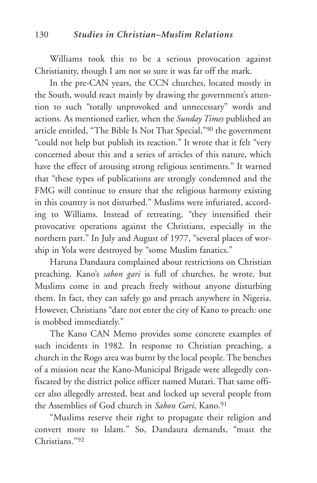Williams took this to be a serious provocation against Christianity, though I am not so sure it was far off the mark.

In the pre-CAN years, the CCN churches, located mostly in the South, would react mainly by drawing the government's attention to such "totally unprovoked and unnecessary" words and actions. As mentioned earlier, when the *Sunday Times* published an article entitled, "The Bible Is Not That Special,"90 the government "could not help but publish its reaction." It wrote that it felt "very concerned about this and a series of articles of this nature, which have the effect of arousing strong religious sentiments." It warned that "these types of publications are strongly condemned and the FMG will continue to ensure that the religious harmony existing in this country is not disturbed." Muslims were infuriated, according to Williams. Instead of retreating, "they intensified their provocative operations against the Christians, especially in the northern part." In July and August of 1977, "several places of worship in Yola were destroyed by "some Muslim fanatics."

Haruna Dandaura complained about restrictions on Christian preaching. Kano's *sabon gari* is full of churches, he wrote, but Muslims come in and preach freely without anyone disturbing them. In fact, they can safely go and preach anywhere in Nigeria. However, Christians "dare not enter the city of Kano to preach: one is mobbed immediately."

The Kano CAN Memo provides some concrete examples of such incidents in 1982. In response to Christian preaching, a church in the Rogo area was burnt by the local people. The benches of a mission near the Kano-Municipal Brigade were allegedly confiscated by the district police officer named Mutari. That same officer also allegedly arrested, beat and locked up several people from the Assemblies of God church in *Sabon Gari*, Kano.91

"Muslims reserve their right to propagate their religion and convert more to Islam." So, Dandaura demands, "must the Christians<sup>"92</sup>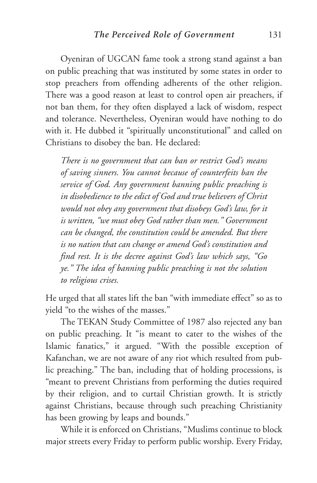Oyeniran of UGCAN fame took a strong stand against a ban on public preaching that was instituted by some states in order to stop preachers from offending adherents of the other religion. There was a good reason at least to control open air preachers, if not ban them, for they often displayed a lack of wisdom, respect and tolerance. Nevertheless, Oyeniran would have nothing to do with it. He dubbed it "spiritually unconstitutional" and called on Christians to disobey the ban. He declared:

*There is no government that can ban or restrict God's means of saving sinners. You cannot because of counterfeits ban the service of God. Any government banning public preaching is in disobedience to the edict of God and true believers of Christ would not obey any government that disobeys God's law, for it is written, "we must obey God rather than men." Government can be changed, the constitution could be amended. But there is no nation that can change or amend God's constitution and find rest. It is the decree against God's law which says, "Go ye." The idea of banning public preaching is not the solution to religious crises.*

He urged that all states lift the ban "with immediate effect" so as to yield "to the wishes of the masses."

The TEKAN Study Committee of 1987 also rejected any ban on public preaching. It "is meant to cater to the wishes of the Islamic fanatics," it argued. "With the possible exception of Kafanchan, we are not aware of any riot which resulted from public preaching." The ban, including that of holding processions, is "meant to prevent Christians from performing the duties required by their religion, and to curtail Christian growth. It is strictly against Christians, because through such preaching Christianity has been growing by leaps and bounds."

While it is enforced on Christians, "Muslims continue to block major streets every Friday to perform public worship. Every Friday,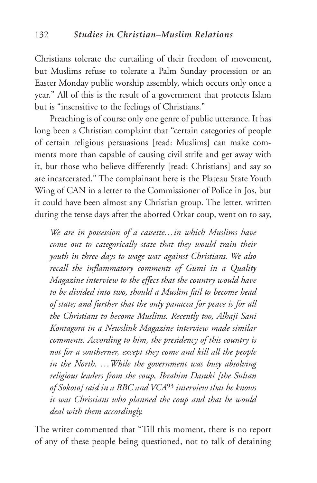Christians tolerate the curtailing of their freedom of movement, but Muslims refuse to tolerate a Palm Sunday procession or an Easter Monday public worship assembly, which occurs only once a year." All of this is the result of a government that protects Islam but is "insensitive to the feelings of Christians."

Preaching is of course only one genre of public utterance. It has long been a Christian complaint that "certain categories of people of certain religious persuasions [read: Muslims] can make comments more than capable of causing civil strife and get away with it, but those who believe differently [read: Christians] and say so are incarcerated." The complainant here is the Plateau State Youth Wing of CAN in a letter to the Commissioner of Police in Jos, but it could have been almost any Christian group. The letter, written during the tense days after the aborted Orkar coup, went on to say,

*We are in possession of a cassette…in which Muslims have come out to categorically state that they would train their youth in three days to wage war against Christians. We also recall the inflammatory comments of Gumi in a Quality Magazine interview to the effect that the country would have to be divided into two, should a Muslim fail to become head of state; and further that the only panacea for peace is for all the Christians to become Muslims. Recently too, Alhaji Sani Kontagora in a Newslink Magazine interview made similar comments. According to him, the presidency of this country is not for a southerner, except they come and kill all the people in the North. …While the government was busy absolving religious leaders from the coup, Ibrahim Dasuki [the Sultan of Sokoto] said in a BBC and VCA*<sup>93</sup> *interview that he knows it was Christians who planned the coup and that he would deal with them accordingly.* 

The writer commented that "Till this moment, there is no report of any of these people being questioned, not to talk of detaining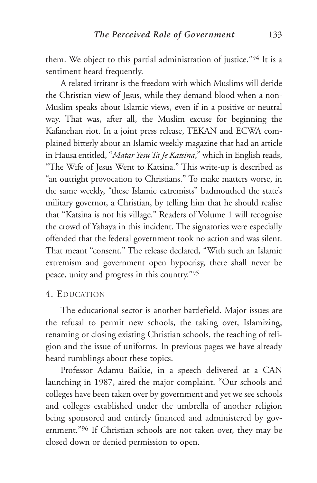them. We object to this partial administration of justice."94 It is a sentiment heard frequently.

A related irritant is the freedom with which Muslims will deride the Christian view of Jesus, while they demand blood when a non-Muslim speaks about Islamic views, even if in a positive or neutral way. That was, after all, the Muslim excuse for beginning the Kafanchan riot. In a joint press release, TEKAN and ECWA complained bitterly about an Islamic weekly magazine that had an article in Hausa entitled, "*Matar Yesu Ta Je Katsina*," which in English reads, "The Wife of Jesus Went to Katsina." This write-up is described as "an outright provocation to Christians." To make matters worse, in the same weekly, "these Islamic extremists" badmouthed the state's military governor, a Christian, by telling him that he should realise that "Katsina is not his village." Readers of Volume 1 will recognise the crowd of Yahaya in this incident. The signatories were especially offended that the federal government took no action and was silent. That meant "consent." The release declared, "With such an Islamic extremism and government open hypocrisy, there shall never be peace, unity and progress in this country."95

#### 4. EDUCATION

The educational sector is another battlefield. Major issues are the refusal to permit new schools, the taking over, Islamizing, renaming or closing existing Christian schools, the teaching of religion and the issue of uniforms. In previous pages we have already heard rumblings about these topics.

Professor Adamu Baikie, in a speech delivered at a CAN launching in 1987, aired the major complaint. "Our schools and colleges have been taken over by government and yet we see schools and colleges established under the umbrella of another religion being sponsored and entirely financed and administered by government."96 If Christian schools are not taken over, they may be closed down or denied permission to open.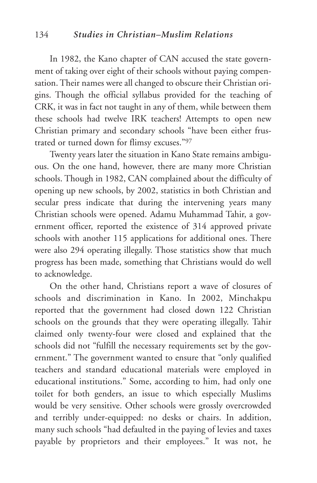In 1982, the Kano chapter of CAN accused the state government of taking over eight of their schools without paying compensation. Their names were all changed to obscure their Christian origins. Though the official syllabus provided for the teaching of CRK, it was in fact not taught in any of them, while between them these schools had twelve IRK teachers! Attempts to open new Christian primary and secondary schools "have been either frustrated or turned down for flimsy excuses."97

Twenty years later the situation in Kano State remains ambiguous. On the one hand, however, there are many more Christian schools. Though in 1982, CAN complained about the difficulty of opening up new schools, by 2002, statistics in both Christian and secular press indicate that during the intervening years many Christian schools were opened. Adamu Muhammad Tahir, a government officer, reported the existence of 314 approved private schools with another 115 applications for additional ones. There were also 294 operating illegally. Those statistics show that much progress has been made, something that Christians would do well to acknowledge.

On the other hand, Christians report a wave of closures of schools and discrimination in Kano. In 2002, Minchakpu reported that the government had closed down 122 Christian schools on the grounds that they were operating illegally. Tahir claimed only twenty-four were closed and explained that the schools did not "fulfill the necessary requirements set by the government." The government wanted to ensure that "only qualified teachers and standard educational materials were employed in educational institutions." Some, according to him, had only one toilet for both genders, an issue to which especially Muslims would be very sensitive. Other schools were grossly overcrowded and terribly under-equipped: no desks or chairs. In addition, many such schools "had defaulted in the paying of levies and taxes payable by proprietors and their employees." It was not, he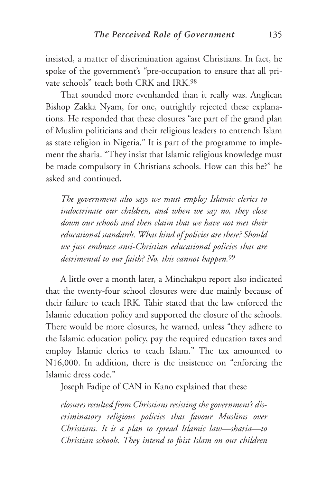insisted, a matter of discrimination against Christians. In fact, he spoke of the government's "pre-occupation to ensure that all private schools" teach both CRK and IRK.98

That sounded more evenhanded than it really was. Anglican Bishop Zakka Nyam, for one, outrightly rejected these explanations. He responded that these closures "are part of the grand plan of Muslim politicians and their religious leaders to entrench Islam as state religion in Nigeria." It is part of the programme to implement the sharia. "They insist that Islamic religious knowledge must be made compulsory in Christians schools. How can this be?" he asked and continued,

*The government also says we must employ Islamic clerics to indoctrinate our children, and when we say no, they close down our schools and then claim that we have not met their educational standards. What kind of policies are these? Should we just embrace anti-Christian educational policies that are detrimental to our faith? No, this cannot happen.*<sup>99</sup>

A little over a month later, a Minchakpu report also indicated that the twenty-four school closures were due mainly because of their failure to teach IRK. Tahir stated that the law enforced the Islamic education policy and supported the closure of the schools. There would be more closures, he warned, unless "they adhere to the Islamic education policy, pay the required education taxes and employ Islamic clerics to teach Islam." The tax amounted to N16,000. In addition, there is the insistence on "enforcing the Islamic dress code."

Joseph Fadipe of CAN in Kano explained that these

*closures resulted from Christians resisting the government's discriminatory religious policies that favour Muslims over Christians. It is a plan to spread Islamic law—sharia—to Christian schools. They intend to foist Islam on our children*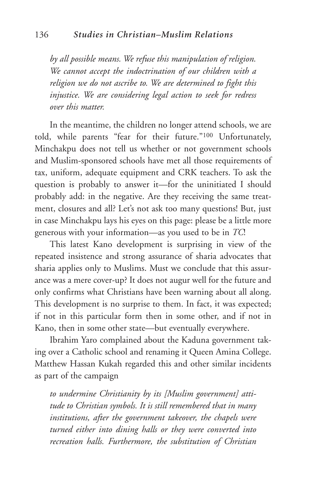*by all possible means. We refuse this manipulation of religion. We cannot accept the indoctrination of our children with a religion we do not ascribe to. We are determined to fight this injustice. We are considering legal action to seek for redress over this matter.*

In the meantime, the children no longer attend schools, we are told, while parents "fear for their future."100 Unfortunately, Minchakpu does not tell us whether or not government schools and Muslim-sponsored schools have met all those requirements of tax, uniform, adequate equipment and CRK teachers. To ask the question is probably to answer it—for the uninitiated I should probably add: in the negative. Are they receiving the same treatment, closures and all? Let's not ask too many questions! But, just in case Minchakpu lays his eyes on this page: please be a little more generous with your information—as you used to be in *TC*!

This latest Kano development is surprising in view of the repeated insistence and strong assurance of sharia advocates that sharia applies only to Muslims. Must we conclude that this assurance was a mere cover-up? It does not augur well for the future and only confirms what Christians have been warning about all along. This development is no surprise to them. In fact, it was expected; if not in this particular form then in some other, and if not in Kano, then in some other state—but eventually everywhere.

Ibrahim Yaro complained about the Kaduna government taking over a Catholic school and renaming it Queen Amina College. Matthew Hassan Kukah regarded this and other similar incidents as part of the campaign

*to undermine Christianity by its [Muslim government] attitude to Christian symbols. It is still remembered that in many institutions, after the government takeover, the chapels were turned either into dining halls or they were converted into recreation halls. Furthermore, the substitution of Christian*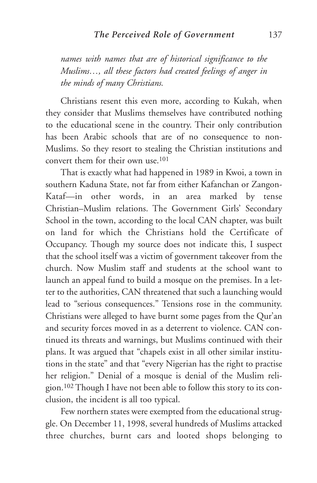*names with names that are of historical significance to the Muslims…, all these factors had created feelings of anger in the minds of many Christians.* 

Christians resent this even more, according to Kukah, when they consider that Muslims themselves have contributed nothing to the educational scene in the country. Their only contribution has been Arabic schools that are of no consequence to non-Muslims. So they resort to stealing the Christian institutions and convert them for their own use.101

That is exactly what had happened in 1989 in Kwoi, a town in southern Kaduna State, not far from either Kafanchan or Zangon-Kataf—in other words, in an area marked by tense Christian–Muslim relations. The Government Girls' Secondary School in the town, according to the local CAN chapter, was built on land for which the Christians hold the Certificate of Occupancy. Though my source does not indicate this, I suspect that the school itself was a victim of government takeover from the church. Now Muslim staff and students at the school want to launch an appeal fund to build a mosque on the premises. In a letter to the authorities, CAN threatened that such a launching would lead to "serious consequences." Tensions rose in the community. Christians were alleged to have burnt some pages from the Qur'an and security forces moved in as a deterrent to violence. CAN continued its threats and warnings, but Muslims continued with their plans. It was argued that "chapels exist in all other similar institutions in the state" and that "every Nigerian has the right to practise her religion." Denial of a mosque is denial of the Muslim religion.102 Though I have not been able to follow this story to its conclusion, the incident is all too typical.

Few northern states were exempted from the educational struggle. On December 11, 1998, several hundreds of Muslims attacked three churches, burnt cars and looted shops belonging to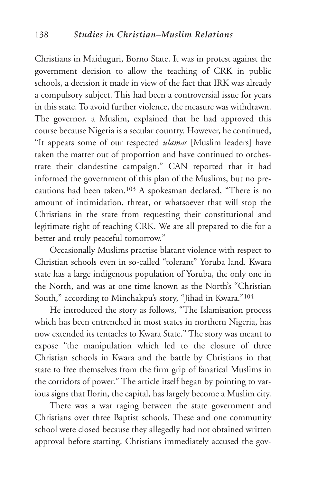Christians in Maiduguri, Borno State. It was in protest against the government decision to allow the teaching of CRK in public schools, a decision it made in view of the fact that IRK was already a compulsory subject. This had been a controversial issue for years in this state. To avoid further violence, the measure was withdrawn. The governor, a Muslim, explained that he had approved this course because Nigeria is a secular country. However, he continued, "It appears some of our respected *ulamas* [Muslim leaders] have taken the matter out of proportion and have continued to orchestrate their clandestine campaign." CAN reported that it had informed the government of this plan of the Muslims, but no precautions had been taken.103 A spokesman declared, "There is no amount of intimidation, threat, or whatsoever that will stop the Christians in the state from requesting their constitutional and legitimate right of teaching CRK. We are all prepared to die for a better and truly peaceful tomorrow."

Occasionally Muslims practise blatant violence with respect to Christian schools even in so-called "tolerant" Yoruba land. Kwara state has a large indigenous population of Yoruba, the only one in the North, and was at one time known as the North's "Christian South," according to Minchakpu's story, "Jihad in Kwara."104

He introduced the story as follows, "The Islamisation process which has been entrenched in most states in northern Nigeria, has now extended its tentacles to Kwara State." The story was meant to expose "the manipulation which led to the closure of three Christian schools in Kwara and the battle by Christians in that state to free themselves from the firm grip of fanatical Muslims in the corridors of power." The article itself began by pointing to various signs that Ilorin, the capital, has largely become a Muslim city.

There was a war raging between the state government and Christians over three Baptist schools. These and one community school were closed because they allegedly had not obtained written approval before starting. Christians immediately accused the gov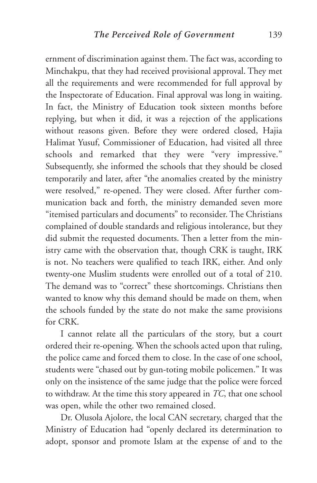ernment of discrimination against them. The fact was, according to Minchakpu, that they had received provisional approval. They met all the requirements and were recommended for full approval by the Inspectorate of Education. Final approval was long in waiting. In fact, the Ministry of Education took sixteen months before replying, but when it did, it was a rejection of the applications without reasons given. Before they were ordered closed, Hajia Halimat Yusuf, Commissioner of Education, had visited all three schools and remarked that they were "very impressive." Subsequently, she informed the schools that they should be closed temporarily and later, after "the anomalies created by the ministry were resolved," re-opened. They were closed. After further communication back and forth, the ministry demanded seven more "itemised particulars and documents" to reconsider. The Christians complained of double standards and religious intolerance, but they did submit the requested documents. Then a letter from the ministry came with the observation that, though CRK is taught, IRK is not. No teachers were qualified to teach IRK, either. And only twenty-one Muslim students were enrolled out of a total of 210. The demand was to "correct" these shortcomings. Christians then wanted to know why this demand should be made on them, when the schools funded by the state do not make the same provisions for CRK.

I cannot relate all the particulars of the story, but a court ordered their re-opening. When the schools acted upon that ruling, the police came and forced them to close. In the case of one school, students were "chased out by gun-toting mobile policemen." It was only on the insistence of the same judge that the police were forced to withdraw. At the time this story appeared in *TC*, that one school was open, while the other two remained closed.

Dr. Olusola Ajolore, the local CAN secretary, charged that the Ministry of Education had "openly declared its determination to adopt, sponsor and promote Islam at the expense of and to the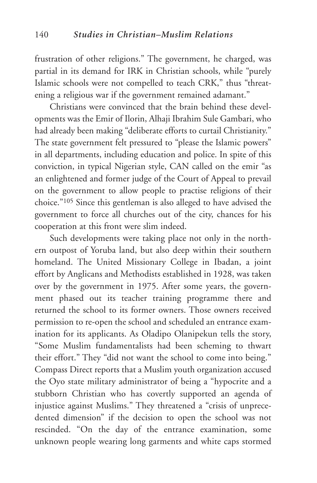frustration of other religions." The government, he charged, was partial in its demand for IRK in Christian schools, while "purely Islamic schools were not compelled to teach CRK," thus "threatening a religious war if the government remained adamant."

Christians were convinced that the brain behind these developments was the Emir of Ilorin, Alhaji Ibrahim Sule Gambari, who had already been making "deliberate efforts to curtail Christianity." The state government felt pressured to "please the Islamic powers" in all departments, including education and police. In spite of this conviction, in typical Nigerian style, CAN called on the emir "as an enlightened and former judge of the Court of Appeal to prevail on the government to allow people to practise religions of their choice."105 Since this gentleman is also alleged to have advised the government to force all churches out of the city, chances for his cooperation at this front were slim indeed.

Such developments were taking place not only in the northern outpost of Yoruba land, but also deep within their southern homeland. The United Missionary College in Ibadan, a joint effort by Anglicans and Methodists established in 1928, was taken over by the government in 1975. After some years, the government phased out its teacher training programme there and returned the school to its former owners. Those owners received permission to re-open the school and scheduled an entrance examination for its applicants. As Oladipo Olanipekun tells the story, "Some Muslim fundamentalists had been scheming to thwart their effort." They "did not want the school to come into being." Compass Direct reports that a Muslim youth organization accused the Oyo state military administrator of being a "hypocrite and a stubborn Christian who has covertly supported an agenda of injustice against Muslims." They threatened a "crisis of unprecedented dimension" if the decision to open the school was not rescinded. "On the day of the entrance examination, some unknown people wearing long garments and white caps stormed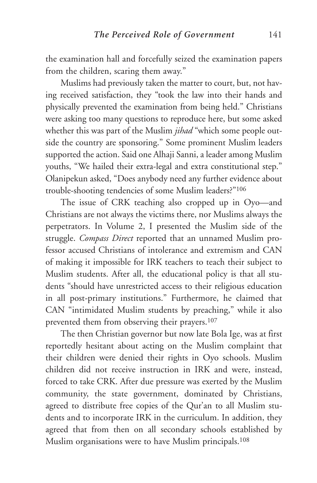the examination hall and forcefully seized the examination papers from the children, scaring them away."

Muslims had previously taken the matter to court, but, not having received satisfaction, they "took the law into their hands and physically prevented the examination from being held." Christians were asking too many questions to reproduce here, but some asked whether this was part of the Muslim *jihad* "which some people outside the country are sponsoring." Some prominent Muslim leaders supported the action. Said one Alhaji Sanni, a leader among Muslim youths, "We hailed their extra-legal and extra constitutional step." Olanipekun asked, "Does anybody need any further evidence about trouble-shooting tendencies of some Muslim leaders?"106

The issue of CRK teaching also cropped up in Oyo—and Christians are not always the victims there, nor Muslims always the perpetrators. In Volume 2, I presented the Muslim side of the struggle. *Compass Direct* reported that an unnamed Muslim professor accused Christians of intolerance and extremism and CAN of making it impossible for IRK teachers to teach their subject to Muslim students. After all, the educational policy is that all students "should have unrestricted access to their religious education in all post-primary institutions." Furthermore, he claimed that CAN "intimidated Muslim students by preaching," while it also prevented them from observing their prayers.107

The then Christian governor but now late Bola Ige, was at first reportedly hesitant about acting on the Muslim complaint that their children were denied their rights in Oyo schools. Muslim children did not receive instruction in IRK and were, instead, forced to take CRK. After due pressure was exerted by the Muslim community, the state government, dominated by Christians, agreed to distribute free copies of the Qur'an to all Muslim students and to incorporate IRK in the curriculum. In addition, they agreed that from then on all secondary schools established by Muslim organisations were to have Muslim principals.<sup>108</sup>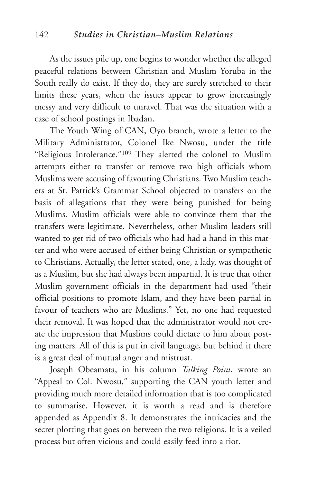As the issues pile up, one begins to wonder whether the alleged peaceful relations between Christian and Muslim Yoruba in the South really do exist. If they do, they are surely stretched to their limits these years, when the issues appear to grow increasingly messy and very difficult to unravel. That was the situation with a case of school postings in Ibadan.

The Youth Wing of CAN, Oyo branch, wrote a letter to the Military Administrator, Colonel Ike Nwosu, under the title "Religious Intolerance."109 They alerted the colonel to Muslim attempts either to transfer or remove two high officials whom Muslims were accusing of favouring Christians. Two Muslim teachers at St. Patrick's Grammar School objected to transfers on the basis of allegations that they were being punished for being Muslims. Muslim officials were able to convince them that the transfers were legitimate. Nevertheless, other Muslim leaders still wanted to get rid of two officials who had had a hand in this matter and who were accused of either being Christian or sympathetic to Christians. Actually, the letter stated, one, a lady, was thought of as a Muslim, but she had always been impartial. It is true that other Muslim government officials in the department had used "their official positions to promote Islam, and they have been partial in favour of teachers who are Muslims." Yet, no one had requested their removal. It was hoped that the administrator would not create the impression that Muslims could dictate to him about posting matters. All of this is put in civil language, but behind it there is a great deal of mutual anger and mistrust.

Joseph Obeamata, in his column *Talking Point*, wrote an "Appeal to Col. Nwosu," supporting the CAN youth letter and providing much more detailed information that is too complicated to summarise. However, it is worth a read and is therefore appended as Appendix 8. It demonstrates the intricacies and the secret plotting that goes on between the two religions. It is a veiled process but often vicious and could easily feed into a riot.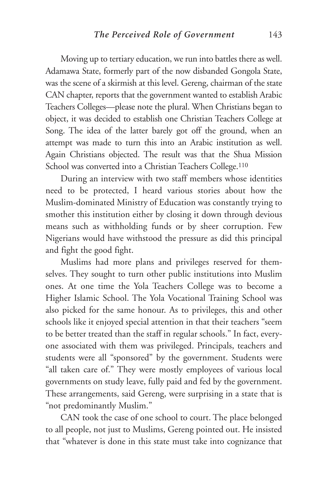Moving up to tertiary education, we run into battles there as well. Adamawa State, formerly part of the now disbanded Gongola State, was the scene of a skirmish at this level. Gereng, chairman of the state CAN chapter, reports that the government wanted to establish Arabic Teachers Colleges—please note the plural. When Christians began to object, it was decided to establish one Christian Teachers College at Song. The idea of the latter barely got off the ground, when an attempt was made to turn this into an Arabic institution as well. Again Christians objected. The result was that the Shua Mission School was converted into a Christian Teachers College.<sup>110</sup>

During an interview with two staff members whose identities need to be protected, I heard various stories about how the Muslim-dominated Ministry of Education was constantly trying to smother this institution either by closing it down through devious means such as withholding funds or by sheer corruption. Few Nigerians would have withstood the pressure as did this principal and fight the good fight.

Muslims had more plans and privileges reserved for themselves. They sought to turn other public institutions into Muslim ones. At one time the Yola Teachers College was to become a Higher Islamic School. The Yola Vocational Training School was also picked for the same honour. As to privileges, this and other schools like it enjoyed special attention in that their teachers "seem to be better treated than the staff in regular schools." In fact, everyone associated with them was privileged. Principals, teachers and students were all "sponsored" by the government. Students were "all taken care of." They were mostly employees of various local governments on study leave, fully paid and fed by the government. These arrangements, said Gereng, were surprising in a state that is "not predominantly Muslim."

CAN took the case of one school to court. The place belonged to all people, not just to Muslims, Gereng pointed out. He insisted that "whatever is done in this state must take into cognizance that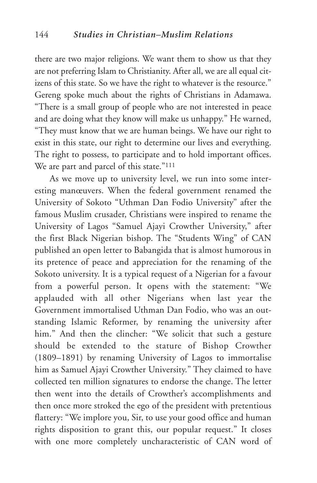there are two major religions. We want them to show us that they are not preferring Islam to Christianity. After all, we are all equal citizens of this state. So we have the right to whatever is the resource." Gereng spoke much about the rights of Christians in Adamawa. "There is a small group of people who are not interested in peace and are doing what they know will make us unhappy." He warned, "They must know that we are human beings. We have our right to exist in this state, our right to determine our lives and everything. The right to possess, to participate and to hold important offices. We are part and parcel of this state."<sup>111</sup>

As we move up to university level, we run into some interesting manœuvers. When the federal government renamed the University of Sokoto "Uthman Dan Fodio University" after the famous Muslim crusader, Christians were inspired to rename the University of Lagos "Samuel Ajayi Crowther University," after the first Black Nigerian bishop. The "Students Wing" of CAN published an open letter to Babangida that is almost humorous in its pretence of peace and appreciation for the renaming of the Sokoto university. It is a typical request of a Nigerian for a favour from a powerful person. It opens with the statement: "We applauded with all other Nigerians when last year the Government immortalised Uthman Dan Fodio, who was an outstanding Islamic Reformer, by renaming the university after him." And then the clincher: "We solicit that such a gesture should be extended to the stature of Bishop Crowther (1809–1891) by renaming University of Lagos to immortalise him as Samuel Ajayi Crowther University." They claimed to have collected ten million signatures to endorse the change. The letter then went into the details of Crowther's accomplishments and then once more stroked the ego of the president with pretentious flattery: "We implore you, Sir, to use your good office and human rights disposition to grant this, our popular request." It closes with one more completely uncharacteristic of CAN word of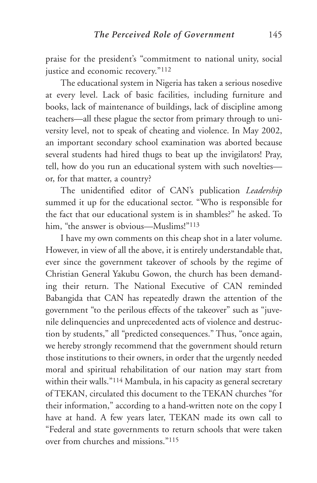praise for the president's "commitment to national unity, social justice and economic recovery."112

The educational system in Nigeria has taken a serious nosedive at every level. Lack of basic facilities, including furniture and books, lack of maintenance of buildings, lack of discipline among teachers—all these plague the sector from primary through to university level, not to speak of cheating and violence. In May 2002, an important secondary school examination was aborted because several students had hired thugs to beat up the invigilators! Pray, tell, how do you run an educational system with such novelties or, for that matter, a country?

The unidentified editor of CAN's publication *Leadership* summed it up for the educational sector. "Who is responsible for the fact that our educational system is in shambles?" he asked. To him, "the answer is obvious—Muslims!"<sup>113</sup>

I have my own comments on this cheap shot in a later volume. However, in view of all the above, it is entirely understandable that, ever since the government takeover of schools by the regime of Christian General Yakubu Gowon, the church has been demanding their return. The National Executive of CAN reminded Babangida that CAN has repeatedly drawn the attention of the government "to the perilous effects of the takeover" such as "juvenile delinquencies and unprecedented acts of violence and destruction by students," all "predicted consequences." Thus, "once again, we hereby strongly recommend that the government should return those institutions to their owners, in order that the urgently needed moral and spiritual rehabilitation of our nation may start from within their walls."114 Mambula, in his capacity as general secretary of TEKAN, circulated this document to the TEKAN churches "for their information," according to a hand-written note on the copy I have at hand. A few years later, TEKAN made its own call to "Federal and state governments to return schools that were taken over from churches and missions."115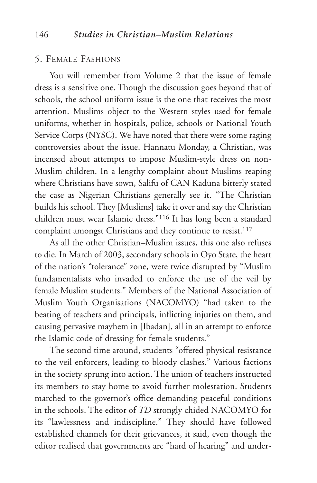## 5. FEMALE FASHIONS

You will remember from Volume 2 that the issue of female dress is a sensitive one. Though the discussion goes beyond that of schools, the school uniform issue is the one that receives the most attention. Muslims object to the Western styles used for female uniforms, whether in hospitals, police, schools or National Youth Service Corps (NYSC). We have noted that there were some raging controversies about the issue. Hannatu Monday, a Christian, was incensed about attempts to impose Muslim-style dress on non-Muslim children. In a lengthy complaint about Muslims reaping where Christians have sown, Salifu of CAN Kaduna bitterly stated the case as Nigerian Christians generally see it. "The Christian builds his school. They [Muslims] take it over and say the Christian children must wear Islamic dress."116 It has long been a standard complaint amongst Christians and they continue to resist.<sup>117</sup>

As all the other Christian–Muslim issues, this one also refuses to die. In March of 2003, secondary schools in Oyo State, the heart of the nation's "tolerance" zone, were twice disrupted by "Muslim fundamentalists who invaded to enforce the use of the veil by female Muslim students." Members of the National Association of Muslim Youth Organisations (NACOMYO) "had taken to the beating of teachers and principals, inflicting injuries on them, and causing pervasive mayhem in [Ibadan], all in an attempt to enforce the Islamic code of dressing for female students."

The second time around, students "offered physical resistance to the veil enforcers, leading to bloody clashes." Various factions in the society sprung into action. The union of teachers instructed its members to stay home to avoid further molestation. Students marched to the governor's office demanding peaceful conditions in the schools. The editor of *TD* strongly chided NACOMYO for its "lawlessness and indiscipline." They should have followed established channels for their grievances, it said, even though the editor realised that governments are "hard of hearing" and under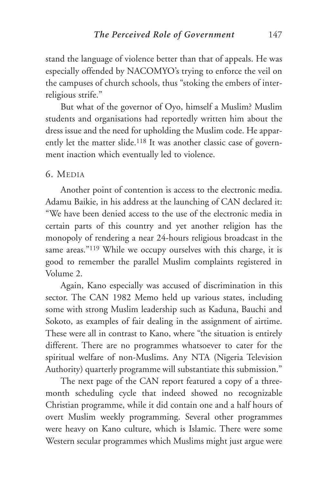stand the language of violence better than that of appeals. He was especially offended by NACOMYO's trying to enforce the veil on the campuses of church schools, thus "stoking the embers of interreligious strife."

But what of the governor of Oyo, himself a Muslim? Muslim students and organisations had reportedly written him about the dress issue and the need for upholding the Muslim code. He apparently let the matter slide.<sup>118</sup> It was another classic case of government inaction which eventually led to violence.

### 6. MEDIA

Another point of contention is access to the electronic media. Adamu Baikie, in his address at the launching of CAN declared it: "We have been denied access to the use of the electronic media in certain parts of this country and yet another religion has the monopoly of rendering a near 24-hours religious broadcast in the same areas."<sup>119</sup> While we occupy ourselves with this charge, it is good to remember the parallel Muslim complaints registered in Volume 2.

Again, Kano especially was accused of discrimination in this sector. The CAN 1982 Memo held up various states, including some with strong Muslim leadership such as Kaduna, Bauchi and Sokoto, as examples of fair dealing in the assignment of airtime. These were all in contrast to Kano, where "the situation is entirely different. There are no programmes whatsoever to cater for the spiritual welfare of non-Muslims. Any NTA (Nigeria Television Authority) quarterly programme will substantiate this submission."

The next page of the CAN report featured a copy of a threemonth scheduling cycle that indeed showed no recognizable Christian programme, while it did contain one and a half hours of overt Muslim weekly programming. Several other programmes were heavy on Kano culture, which is Islamic. There were some Western secular programmes which Muslims might just argue were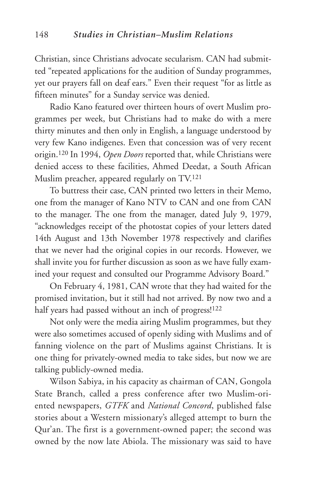Christian, since Christians advocate secularism. CAN had submitted "repeated applications for the audition of Sunday programmes, yet our prayers fall on deaf ears." Even their request "for as little as fifteen minutes" for a Sunday service was denied.

Radio Kano featured over thirteen hours of overt Muslim programmes per week, but Christians had to make do with a mere thirty minutes and then only in English, a language understood by very few Kano indigenes. Even that concession was of very recent origin.120 In 1994, *Open Doors* reported that, while Christians were denied access to these facilities, Ahmed Deedat, a South African Muslim preacher, appeared regularly on TV.121

To buttress their case, CAN printed two letters in their Memo, one from the manager of Kano NTV to CAN and one from CAN to the manager. The one from the manager, dated July 9, 1979, "acknowledges receipt of the photostat copies of your letters dated 14th August and 13th November 1978 respectively and clarifies that we never had the original copies in our records. However, we shall invite you for further discussion as soon as we have fully examined your request and consulted our Programme Advisory Board."

On February 4, 1981, CAN wrote that they had waited for the promised invitation, but it still had not arrived. By now two and a half years had passed without an inch of progress!<sup>122</sup>

Not only were the media airing Muslim programmes, but they were also sometimes accused of openly siding with Muslims and of fanning violence on the part of Muslims against Christians. It is one thing for privately-owned media to take sides, but now we are talking publicly-owned media.

Wilson Sabiya, in his capacity as chairman of CAN, Gongola State Branch, called a press conference after two Muslim-oriented newspapers, *GTFK* and *National Concord*, published false stories about a Western missionary's alleged attempt to burn the Qur'an. The first is a government-owned paper; the second was owned by the now late Abiola. The missionary was said to have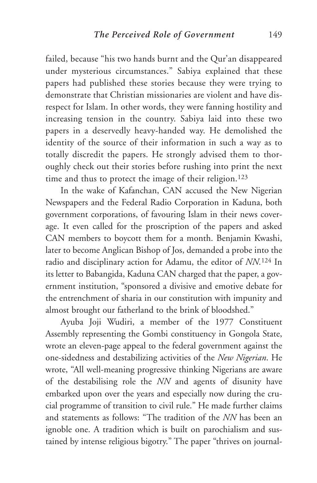failed, because "his two hands burnt and the Qur'an disappeared under mysterious circumstances." Sabiya explained that these papers had published these stories because they were trying to demonstrate that Christian missionaries are violent and have disrespect for Islam. In other words, they were fanning hostility and increasing tension in the country. Sabiya laid into these two papers in a deservedly heavy-handed way. He demolished the identity of the source of their information in such a way as to totally discredit the papers. He strongly advised them to thoroughly check out their stories before rushing into print the next time and thus to protect the image of their religion.<sup>123</sup>

In the wake of Kafanchan, CAN accused the New Nigerian Newspapers and the Federal Radio Corporation in Kaduna, both government corporations, of favouring Islam in their news coverage. It even called for the proscription of the papers and asked CAN members to boycott them for a month. Benjamin Kwashi, later to become Anglican Bishop of Jos, demanded a probe into the radio and disciplinary action for Adamu, the editor of *NN.*<sup>124</sup> In its letter to Babangida, Kaduna CAN charged that the paper, a government institution, "sponsored a divisive and emotive debate for the entrenchment of sharia in our constitution with impunity and almost brought our fatherland to the brink of bloodshed."

Ayuba Joji Wudiri, a member of the 1977 Constituent Assembly representing the Gombi constituency in Gongola State, wrote an eleven-page appeal to the federal government against the one-sidedness and destabilizing activities of the *New Nigerian*. He wrote, "All well-meaning progressive thinking Nigerians are aware of the destabilising role the *NN* and agents of disunity have embarked upon over the years and especially now during the crucial programme of transition to civil rule." He made further claims and statements as follows: "The tradition of the *NN* has been an ignoble one. A tradition which is built on parochialism and sustained by intense religious bigotry." The paper "thrives on journal-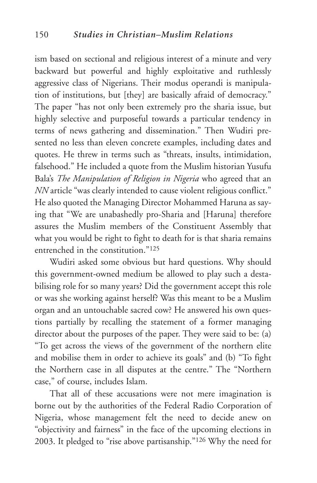ism based on sectional and religious interest of a minute and very backward but powerful and highly exploitative and ruthlessly aggressive class of Nigerians. Their modus operandi is manipulation of institutions, but [they] are basically afraid of democracy." The paper "has not only been extremely pro the sharia issue, but highly selective and purposeful towards a particular tendency in terms of news gathering and dissemination." Then Wudiri presented no less than eleven concrete examples, including dates and quotes. He threw in terms such as "threats, insults, intimidation, falsehood." He included a quote from the Muslim historian Yusufu Bala's *The Manipulation of Religion in Nigeria* who agreed that an *NN* article "was clearly intended to cause violent religious conflict." He also quoted the Managing Director Mohammed Haruna as saying that "We are unabashedly pro-Sharia and [Haruna] therefore assures the Muslim members of the Constituent Assembly that what you would be right to fight to death for is that sharia remains entrenched in the constitution."125

Wudiri asked some obvious but hard questions. Why should this government-owned medium be allowed to play such a destabilising role for so many years? Did the government accept this role or was she working against herself? Was this meant to be a Muslim organ and an untouchable sacred cow? He answered his own questions partially by recalling the statement of a former managing director about the purposes of the paper. They were said to be: (a) "To get across the views of the government of the northern elite and mobilise them in order to achieve its goals" and (b) "To fight the Northern case in all disputes at the centre." The "Northern case," of course, includes Islam.

That all of these accusations were not mere imagination is borne out by the authorities of the Federal Radio Corporation of Nigeria, whose management felt the need to decide anew on "objectivity and fairness" in the face of the upcoming elections in 2003. It pledged to "rise above partisanship."126 Why the need for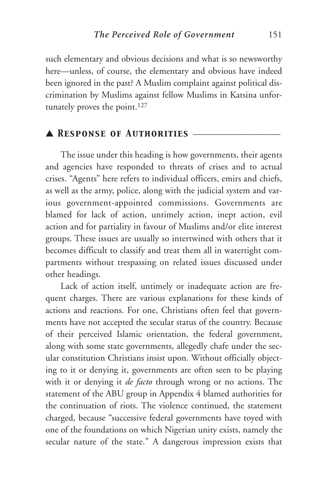such elementary and obvious decisions and what is so newsworthy here—unless, of course, the elementary and obvious have indeed been ignored in the past? A Muslim complaint against political discrimination by Muslims against fellow Muslims in Katsina unfortunately proves the point.<sup>127</sup>

# ▲ *Response of Authorities* \_\_\_\_\_\_\_\_\_\_\_\_\_\_\_\_\_\_\_

The issue under this heading is how governments, their agents and agencies have responded to threats of crises and to actual crises. "Agents" here refers to individual officers, emirs and chiefs, as well as the army, police, along with the judicial system and various government-appointed commissions. Governments are blamed for lack of action, untimely action, inept action, evil action and for partiality in favour of Muslims and/or elite interest groups. These issues are usually so intertwined with others that it becomes difficult to classify and treat them all in watertight compartments without trespassing on related issues discussed under other headings.

Lack of action itself, untimely or inadequate action are frequent charges. There are various explanations for these kinds of actions and reactions. For one, Christians often feel that governments have not accepted the secular status of the country. Because of their perceived Islamic orientation, the federal government, along with some state governments, allegedly chafe under the secular constitution Christians insist upon. Without officially objecting to it or denying it, governments are often seen to be playing with it or denying it *de facto* through wrong or no actions. The statement of the ABU group in Appendix 4 blamed authorities for the continuation of riots. The violence continued, the statement charged, because "successive federal governments have toyed with one of the foundations on which Nigerian unity exists, namely the secular nature of the state." A dangerous impression exists that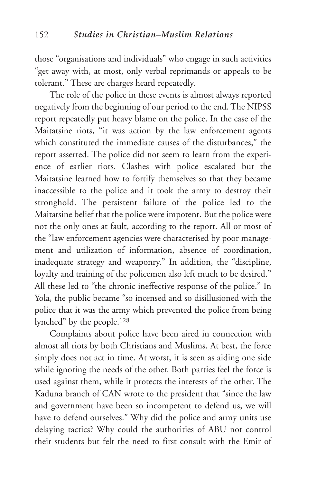those "organisations and individuals" who engage in such activities "get away with, at most, only verbal reprimands or appeals to be tolerant." These are charges heard repeatedly.

The role of the police in these events is almost always reported negatively from the beginning of our period to the end. The NIPSS report repeatedly put heavy blame on the police. In the case of the Maitatsine riots, "it was action by the law enforcement agents which constituted the immediate causes of the disturbances," the report asserted. The police did not seem to learn from the experience of earlier riots. Clashes with police escalated but the Maitatsine learned how to fortify themselves so that they became inaccessible to the police and it took the army to destroy their stronghold. The persistent failure of the police led to the Maitatsine belief that the police were impotent. But the police were not the only ones at fault, according to the report. All or most of the "law enforcement agencies were characterised by poor management and utilization of information, absence of coordination, inadequate strategy and weaponry." In addition, the "discipline, loyalty and training of the policemen also left much to be desired." All these led to "the chronic ineffective response of the police." In Yola, the public became "so incensed and so disillusioned with the police that it was the army which prevented the police from being lynched" by the people.128

Complaints about police have been aired in connection with almost all riots by both Christians and Muslims. At best, the force simply does not act in time. At worst, it is seen as aiding one side while ignoring the needs of the other. Both parties feel the force is used against them, while it protects the interests of the other. The Kaduna branch of CAN wrote to the president that "since the law and government have been so incompetent to defend us, we will have to defend ourselves." Why did the police and army units use delaying tactics? Why could the authorities of ABU not control their students but felt the need to first consult with the Emir of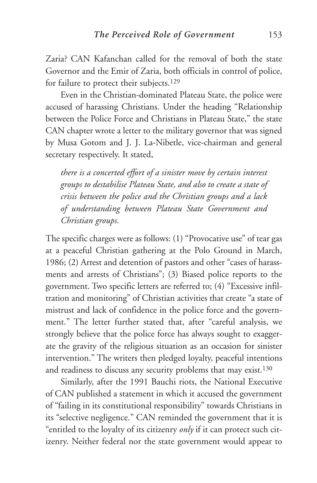Zaria? CAN Kafanchan called for the removal of both the state Governor and the Emir of Zaria, both officials in control of police, for failure to protect their subjects.129

Even in the Christian-dominated Plateau State, the police were accused of harassing Christians. Under the heading "Relationship between the Police Force and Christians in Plateau State," the state CAN chapter wrote a letter to the military governor that was signed by Musa Gotom and J. J. La-Nibetle, vice-chairman and general secretary respectively. It stated,

*there is a concerted effort of a sinister move by certain interest groups to destabilise Plateau State, and also to create a state of crisis between the police and the Christian groups and a lack of understanding between Plateau State Government and Christian groups.*

The specific charges were as follows: (1) "Provocative use" of tear gas at a peaceful Christian gathering at the Polo Ground in March, 1986; (2) Arrest and detention of pastors and other "cases of harassments and arrests of Christians"; (3) Biased police reports to the government. Two specific letters are referred to; (4) "Excessive infiltration and monitoring" of Christian activities that create "a state of mistrust and lack of confidence in the police force and the government." The letter further stated that, after "careful analysis, we strongly believe that the police force has always sought to exaggerate the gravity of the religious situation as an occasion for sinister intervention." The writers then pledged loyalty, peaceful intentions and readiness to discuss any security problems that may exist.130

Similarly, after the 1991 Bauchi riots, the National Executive of CAN published a statement in which it accused the government of "failing in its constitutional responsibility" towards Christians in its "selective negligence." CAN reminded the government that it is "entitled to the loyalty of its citizenry *only* if it can protect such citizenry. Neither federal nor the state government would appear to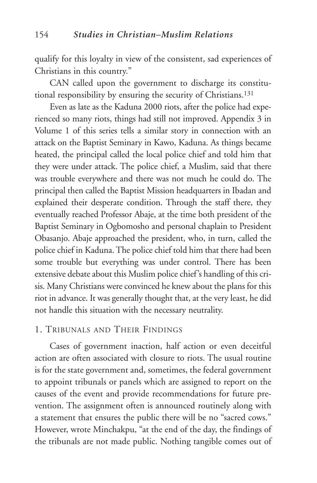qualify for this loyalty in view of the consistent, sad experiences of Christians in this country."

CAN called upon the government to discharge its constitutional responsibility by ensuring the security of Christians.131

Even as late as the Kaduna 2000 riots, after the police had experienced so many riots, things had still not improved. Appendix 3 in Volume 1 of this series tells a similar story in connection with an attack on the Baptist Seminary in Kawo, Kaduna. As things became heated, the principal called the local police chief and told him that they were under attack. The police chief, a Muslim, said that there was trouble everywhere and there was not much he could do. The principal then called the Baptist Mission headquarters in Ibadan and explained their desperate condition. Through the staff there, they eventually reached Professor Abaje, at the time both president of the Baptist Seminary in Ogbomosho and personal chaplain to President Obasanjo. Abaje approached the president, who, in turn, called the police chief in Kaduna. The police chief told him that there had been some trouble but everything was under control. There has been extensive debate about this Muslim police chief's handling of this crisis. Many Christians were convinced he knew about the plans for this riot in advance. It was generally thought that, at the very least, he did not handle this situation with the necessary neutrality.

## 1. TRIBUNALS AND THEIR FINDINGS

Cases of government inaction, half action or even deceitful action are often associated with closure to riots. The usual routine is for the state government and, sometimes, the federal government to appoint tribunals or panels which are assigned to report on the causes of the event and provide recommendations for future prevention. The assignment often is announced routinely along with a statement that ensures the public there will be no "sacred cows." However, wrote Minchakpu, "at the end of the day, the findings of the tribunals are not made public. Nothing tangible comes out of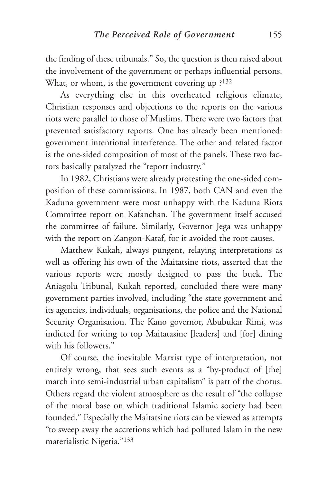the finding of these tribunals." So, the question is then raised about the involvement of the government or perhaps influential persons. What, or whom, is the government covering up ?<sup>132</sup>

As everything else in this overheated religious climate, Christian responses and objections to the reports on the various riots were parallel to those of Muslims. There were two factors that prevented satisfactory reports. One has already been mentioned: government intentional interference. The other and related factor is the one-sided composition of most of the panels. These two factors basically paralyzed the "report industry."

In 1982, Christians were already protesting the one-sided composition of these commissions. In 1987, both CAN and even the Kaduna government were most unhappy with the Kaduna Riots Committee report on Kafanchan. The government itself accused the committee of failure. Similarly, Governor Jega was unhappy with the report on Zangon-Kataf, for it avoided the root causes.

Matthew Kukah, always pungent, relaying interpretations as well as offering his own of the Maitatsine riots, asserted that the various reports were mostly designed to pass the buck. The Aniagolu Tribunal, Kukah reported, concluded there were many government parties involved, including "the state government and its agencies, individuals, organisations, the police and the National Security Organisation. The Kano governor, Abubukar Rimi, was indicted for writing to top Maitatasine [leaders] and [for] dining with his followers."

Of course, the inevitable Marxist type of interpretation, not entirely wrong, that sees such events as a "by-product of [the] march into semi-industrial urban capitalism" is part of the chorus. Others regard the violent atmosphere as the result of "the collapse of the moral base on which traditional Islamic society had been founded." Especially the Maitatsine riots can be viewed as attempts "to sweep away the accretions which had polluted Islam in the new materialistic Nigeria."133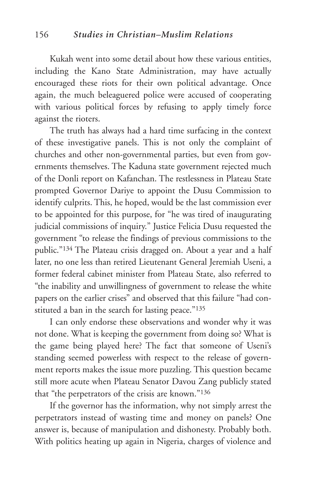Kukah went into some detail about how these various entities, including the Kano State Administration, may have actually encouraged these riots for their own political advantage. Once again, the much beleaguered police were accused of cooperating with various political forces by refusing to apply timely force against the rioters.

The truth has always had a hard time surfacing in the context of these investigative panels. This is not only the complaint of churches and other non-governmental parties, but even from governments themselves. The Kaduna state government rejected much of the Donli report on Kafanchan. The restlessness in Plateau State prompted Governor Dariye to appoint the Dusu Commission to identify culprits. This, he hoped, would be the last commission ever to be appointed for this purpose, for "he was tired of inaugurating judicial commissions of inquiry." Justice Felicia Dusu requested the government "to release the findings of previous commissions to the public."134 The Plateau crisis dragged on. About a year and a half later, no one less than retired Lieutenant General Jeremiah Useni, a former federal cabinet minister from Plateau State, also referred to "the inability and unwillingness of government to release the white papers on the earlier crises" and observed that this failure "had constituted a ban in the search for lasting peace."<sup>135</sup>

I can only endorse these observations and wonder why it was not done. What is keeping the government from doing so? What is the game being played here? The fact that someone of Useni's standing seemed powerless with respect to the release of government reports makes the issue more puzzling. This question became still more acute when Plateau Senator Davou Zang publicly stated that "the perpetrators of the crisis are known."136

If the governor has the information, why not simply arrest the perpetrators instead of wasting time and money on panels? One answer is, because of manipulation and dishonesty. Probably both. With politics heating up again in Nigeria, charges of violence and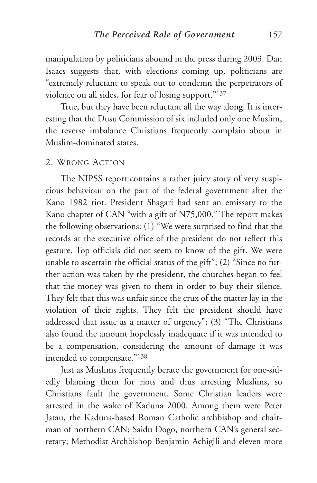manipulation by politicians abound in the press during 2003. Dan Isaacs suggests that, with elections coming up, politicians are "extremely reluctant to speak out to condemn the perpetrators of violence on all sides, for fear of losing support."137

True, but they have been reluctant all the way along. It is interesting that the Dusu Commission of six included only one Muslim, the reverse imbalance Christians frequently complain about in Muslim-dominated states.

## 2. WRONG ACTION

The NIPSS report contains a rather juicy story of very suspicious behaviour on the part of the federal government after the Kano 1982 riot. President Shagari had sent an emissary to the Kano chapter of CAN "with a gift of N75,000." The report makes the following observations: (1) "We were surprised to find that the records at the executive office of the president do not reflect this gesture. Top officials did not seem to know of the gift. We were unable to ascertain the official status of the gift"; (2) "Since no further action was taken by the president, the churches began to feel that the money was given to them in order to buy their silence. They felt that this was unfair since the crux of the matter lay in the violation of their rights. They felt the president should have addressed that issue as a matter of urgency"; (3) "The Christians also found the amount hopelessly inadequate if it was intended to be a compensation, considering the amount of damage it was intended to compensate."138

Just as Muslims frequently berate the government for one-sidedly blaming them for riots and thus arresting Muslims, so Christians fault the government. Some Christian leaders were arrested in the wake of Kaduna 2000. Among them were Peter Jatau, the Kaduna-based Roman Catholic archbishop and chairman of northern CAN; Saidu Dogo, northern CAN's general secretary; Methodist Archbishop Benjamin Achigili and eleven more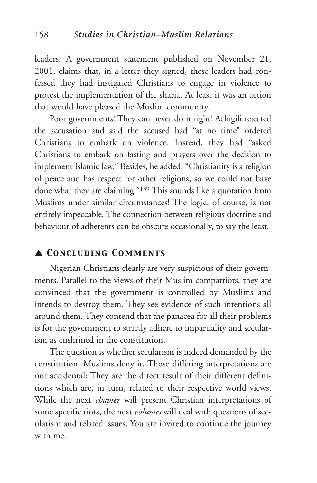leaders. A government statement published on November 21, 2001, claims that, in a letter they signed, these leaders had confessed they had instigated Christians to engage in violence to protest the implementation of the sharia. At least it was an action that would have pleased the Muslim community.

Poor governments! They can never do it right! Achigili rejected the accusation and said the accused had "at no time" ordered Christians to embark on violence. Instead, they had "asked Christians to embark on fasting and prayers over the decision to implement Islamic law." Besides, he added, "Christianity is a religion of peace and has respect for other religions, so we could not have done what they are claiming."139 This sounds like a quotation from Muslims under similar circumstances! The logic, of course, is not entirely impeccable. The connection between religious doctrine and behaviour of adherents can be obscure occasionally, to say the least.

## ▲ *Concluding Comments* \_\_\_\_\_\_\_\_\_\_\_\_\_\_\_\_\_\_\_\_\_\_

Nigerian Christians clearly are very suspicious of their governments. Parallel to the views of their Muslim compatriots, they are convinced that the government is controlled by Muslims and intends to destroy them. They see evidence of such intentions all around them. They contend that the panacea for all their problems is for the government to strictly adhere to impartiality and secularism as enshrined in the constitution.

The question is whether secularism is indeed demanded by the constitution. Muslims deny it. Those differing interpretations are not accidental: They are the direct result of their different definitions which are, in turn, related to their respective world views. While the next *chapter* will present Christian interpretations of some specific riots, the next *volumes* will deal with questions of secularism and related issues. You are invited to continue the journey with me.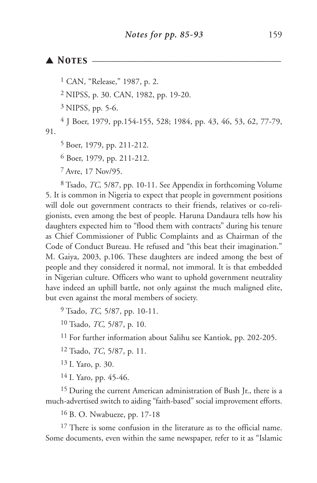## ▲ *Notes* \_\_\_\_\_\_\_\_\_\_\_\_\_\_\_\_\_\_\_\_\_\_\_\_\_\_\_\_\_\_\_\_\_\_\_\_\_\_\_\_\_

1 CAN, "Release," 1987, p. 2.

2 NIPSS, p. 30. CAN, 1982, pp. 19-20.

3 NIPSS, pp. 5-6.

4 J Boer, 1979, pp.154-155, 528; 1984, pp. 43, 46, 53, 62, 77-79, 91.

5 Boer, 1979, pp. 211-212.

6 Boer, 1979, pp. 211-212.

7 Avre, 17 Nov/95.

8 Tsado, *TC,* 5/87, pp. 10-11. See Appendix in forthcoming Volume 5. It is common in Nigeria to expect that people in government positions will dole out government contracts to their friends, relatives or co-religionists, even among the best of people. Haruna Dandaura tells how his daughters expected him to "flood them with contracts" during his tenure as Chief Commissioner of Public Complaints and as Chairman of the Code of Conduct Bureau. He refused and "this beat their imagination." M. Gaiya, 2003, p.106. These daughters are indeed among the best of people and they considered it normal, not immoral. It is that embedded in Nigerian culture. Officers who want to uphold government neutrality have indeed an uphill battle, not only against the much maligned elite, but even against the moral members of society.

9 Tsado, *TC,* 5/87, pp. 10-11.

10 Tsado, *TC,* 5/87, p. 10.

11 For further information about Salihu see Kantiok, pp. 202-205.

12 Tsado, *TC*, 5/87, p. 11.

13 I. Yaro, p. 30.

14 I. Yaro, pp. 45-46.

15 During the current American administration of Bush Jr., there is a much-advertised switch to aiding "faith-based" social improvement efforts.

16 B. O. Nwabueze, pp. 17-18

 $17$  There is some confusion in the literature as to the official name. Some documents, even within the same newspaper, refer to it as "Islamic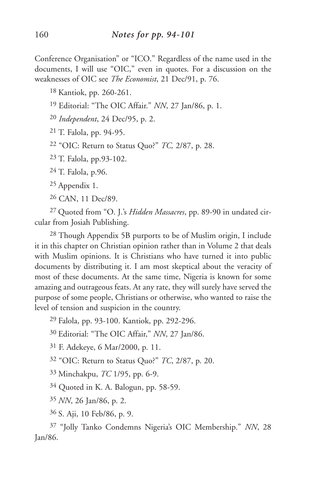Conference Organisation" or "ICO." Regardless of the name used in the documents, I will use "OIC," even in quotes. For a discussion on the weaknesses of OIC see *The Economist*, 21 Dec/91, p. 76.

18 Kantiok, pp. 260-261.

19 Editorial: "The OIC Affair." *NN*, 27 Jan/86, p. 1.

20 *Independent*, 24 Dec/95, p. 2.

21 T. Falola, pp. 94-95.

22 "OIC: Return to Status Quo?" *TC,* 2/87, p. 28.

23 T. Falola, pp.93-102.

24 T. Falola, p.96.

25 Appendix 1.

26 CAN, 11 Dec/89.

27 Quoted from "O. J.'s *Hidden Massacres*, pp. 89-90 in undated circular from Josiah Publishing.

28 Though Appendix 5B purports to be of Muslim origin, I include it in this chapter on Christian opinion rather than in Volume 2 that deals with Muslim opinions. It is Christians who have turned it into public documents by distributing it. I am most skeptical about the veracity of most of these documents. At the same time, Nigeria is known for some amazing and outrageous feats. At any rate, they will surely have served the purpose of some people, Christians or otherwise, who wanted to raise the level of tension and suspicion in the country.

29 Falola, pp. 93-100. Kantiok, pp. 292-296.

30 Editorial: "The OIC Affair," *NN*, 27 Jan/86.

31 F. Adekeye, 6 Mar/2000, p. 11.

32 "OIC: Return to Status Quo?" *TC*, 2/87, p. 20.

33 Minchakpu, *TC* 1/95, pp. 6-9.

34 Quoted in K. A. Balogun, pp. 58-59.

35 *NN*, 26 Jan/86, p. 2.

36 S. Aji, 10 Feb/86, p. 9.

37 "Jolly Tanko Condemns Nigeria's OIC Membership." *NN*, 28 Jan/86.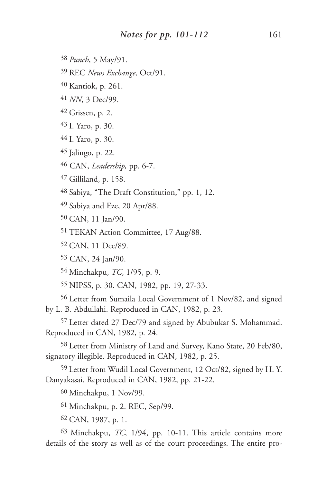38 *Punch*, 5 May/91.

39 REC *News Exchange,* Oct/91.

40 Kantiok, p. 261.

41 *NN*, 3 Dec/99.

42 Grissen, p. 2.

43 I. Yaro, p. 30.

44 I. Yaro, p. 30.

45 Jalingo, p. 22.

46 CAN, *Leadership,* pp. 6-7.

47 Gilliland, p. 158.

48 Sabiya, "The Draft Constitution," pp. 1, 12.

49 Sabiya and Eze, 20 Apr/88.

50 CAN, 11 Jan/90.

51 TEKAN Action Committee, 17 Aug/88.

52 CAN, 11 Dec/89.

53 CAN, 24 Jan/90.

54 Minchakpu, *TC*, 1/95, p. 9.

55 NIPSS, p. 30. CAN, 1982, pp. 19, 27-33.

56 Letter from Sumaila Local Government of 1 Nov/82, and signed by L. B. Abdullahi. Reproduced in CAN, 1982, p. 23.

57 Letter dated 27 Dec/79 and signed by Abubukar S. Mohammad. Reproduced in CAN, 1982, p. 24.

58 Letter from Ministry of Land and Survey, Kano State, 20 Feb/80, signatory illegible. Reproduced in CAN, 1982, p. 25.

59 Letter from Wudil Local Government, 12 Oct/82, signed by H. Y. Danyakasai. Reproduced in CAN, 1982, pp. 21-22.

60 Minchakpu, 1 Nov/99.

61 Minchakpu, p. 2. REC, Sep/99.

62 CAN, 1987, p. 1.

63 Minchakpu, *TC*, 1/94, pp. 10-11. This article contains more details of the story as well as of the court proceedings. The entire pro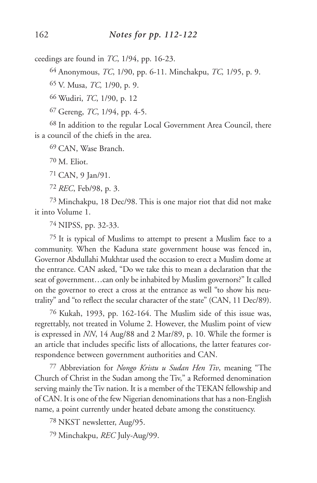ceedings are found in *TC*, 1/94, pp. 16-23.

64 Anonymous, *TC*, 1/90, pp. 6-11. Minchakpu, *TC,* 1/95, p. 9.

65 V. Musa, *TC,* 1/90, p. 9.

66 Wudiri, *TC*, 1/90, p. 12

67 Gereng, *TC*, 1/94, pp. 4-5.

68 In addition to the regular Local Government Area Council, there is a council of the chiefs in the area.

69 CAN, Wase Branch.

70 M. Eliot.

71 CAN, 9 Jan/91.

72 *REC*, Feb/98, p. 3.

73 Minchakpu, 18 Dec/98. This is one major riot that did not make it into Volume 1.

74 NIPSS, pp. 32-33.

75 It is typical of Muslims to attempt to present a Muslim face to a community. When the Kaduna state government house was fenced in, Governor Abdullahi Mukhtar used the occasion to erect a Muslim dome at the entrance. CAN asked, "Do we take this to mean a declaration that the seat of government…can only be inhabited by Muslim governors?" It called on the governor to erect a cross at the entrance as well "to show his neutrality" and "to reflect the secular character of the state" (CAN, 11 Dec/89).

76 Kukah, 1993, pp. 162-164. The Muslim side of this issue was, regrettably, not treated in Volume 2. However, the Muslim point of view is expressed in *NN*, 14 Aug/88 and 2 Mar/89, p. 10. While the former is an article that includes specific lists of allocations, the latter features correspondence between government authorities and CAN.

77 Abbreviation for *Nongo Kristu u Sudan Hen Tiv*, meaning "The Church of Christ in the Sudan among the Tiv," a Reformed denomination serving mainly the Tiv nation. It is a member of the TEKAN fellowship and of CAN. It is one of the few Nigerian denominations that has a non-English name, a point currently under heated debate among the constituency.

78 NKST newsletter, Aug/95.

79 Minchakpu, *REC* July-Aug/99.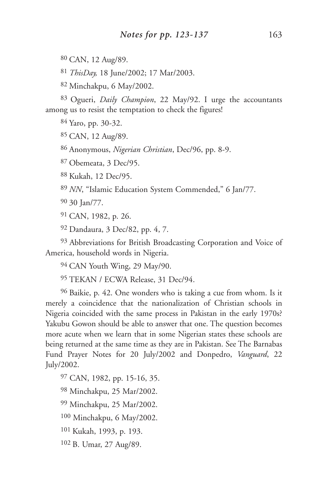80 CAN, 12 Aug/89.

81 *ThisDay,* 18 June/2002; 17 Mar/2003.

82 Minchakpu, 6 May/2002.

83 Ogueri, *Daily Champion*, 22 May/92. I urge the accountants among us to resist the temptation to check the figures!

84 Yaro, pp. 30-32.

85 CAN, 12 Aug/89.

86 Anonymous, *Nigerian Christian*, Dec/96, pp. 8-9.

87 Obemeata, 3 Dec/95.

88 Kukah, 12 Dec/95.

89 *NN*, "Islamic Education System Commended," 6 Jan/77.

90 30 Jan/77.

91 CAN, 1982, p. 26.

92 Dandaura, 3 Dec/82, pp. 4, 7.

93 Abbreviations for British Broadcasting Corporation and Voice of America, household words in Nigeria.

94 CAN Youth Wing, 29 May/90.

95 TEKAN / ECWA Release, 31 Dec/94.

96 Baikie, p. 42. One wonders who is taking a cue from whom. Is it merely a coincidence that the nationalization of Christian schools in Nigeria coincided with the same process in Pakistan in the early 1970s? Yakubu Gowon should be able to answer that one. The question becomes more acute when we learn that in some Nigerian states these schools are being returned at the same time as they are in Pakistan. See The Barnabas Fund Prayer Notes for 20 July/2002 and Donpedro, *Vanguard*, 22 July/2002.

97 CAN, 1982, pp. 15-16, 35.

98 Minchakpu, 25 Mar/2002.

99 Minchakpu, 25 Mar/2002.

100 Minchakpu, 6 May/2002.

101 Kukah, 1993, p. 193.

102 B. Umar, 27 Aug/89.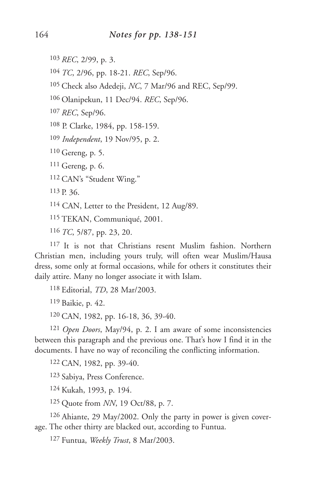103 *REC*, 2/99, p. 3.

104 *TC*, 2/96, pp. 18-21. *REC*, Sep/96.

105 Check also Adedeji, *NC*, 7 Mar/96 and REC, Sep/99.

106 Olanipekun, 11 Dec/94. *REC*, Sep/96.

107 *REC*, Sep/96.

108 P. Clarke, 1984, pp. 158-159.

109 *Independent*, 19 Nov/95, p. 2.

110 Gereng, p. 5.

111 Gereng, p. 6.

112 CAN's "Student Wing."

 $113 p. 36$ 

114 CAN, Letter to the President, 12 Aug/89.

115 TEKAN, Communiqué, 2001.

116 *TC*, 5/87, pp. 23, 20.

117 It is not that Christians resent Muslim fashion. Northern Christian men, including yours truly, will often wear Muslim/Hausa dress, some only at formal occasions, while for others it constitutes their daily attire. Many no longer associate it with Islam.

118 Editorial, *TD*, 28 Mar/2003.

119 Baikie, p. 42.

120 CAN, 1982, pp. 16-18, 36, 39-40.

121 *Open Doors*, May/94, p. 2. I am aware of some inconsistencies between this paragraph and the previous one. That's how I find it in the documents. I have no way of reconciling the conflicting information.

122 CAN, 1982, pp. 39-40.

123 Sabiya, Press Conference.

124 Kukah, 1993, p. 194.

125 Quote from *NN*, 19 Oct/88, p. 7.

126 Ahiante, 29 May/2002. Only the party in power is given coverage. The other thirty are blacked out, according to Funtua.

127 Funtua, *Weekly Trust*, 8 Mar/2003.